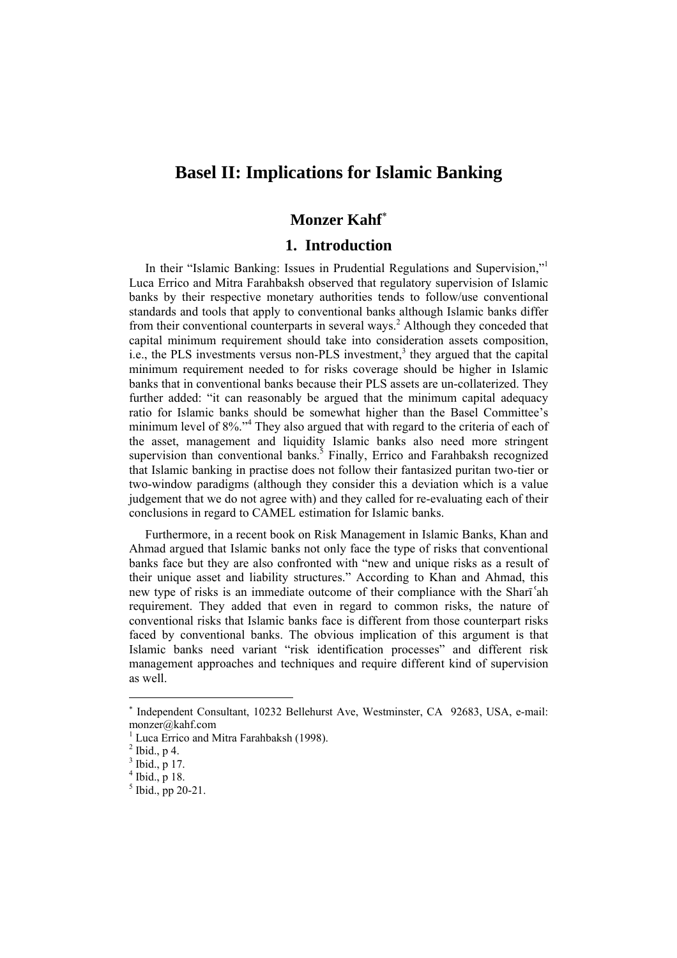# **Basel II: Implications for Islamic Banking**

## **Monzer Kahf**<sup>∗</sup>

## **1. Introduction**

In their "Islamic Banking: Issues in Prudential Regulations and Supervision,"1 Luca Errico and Mitra Farahbaksh observed that regulatory supervision of Islamic banks by their respective monetary authorities tends to follow/use conventional standards and tools that apply to conventional banks although Islamic banks differ from their conventional counterparts in several ways.<sup>2</sup> Although they conceded that capital minimum requirement should take into consideration assets composition, i.e., the PLS investments versus non-PLS investment,<sup>3</sup> they argued that the capital minimum requirement needed to for risks coverage should be higher in Islamic banks that in conventional banks because their PLS assets are un-collaterized. They further added: "it can reasonably be argued that the minimum capital adequacy ratio for Islamic banks should be somewhat higher than the Basel Committee's minimum level of 8%."<sup>4</sup> They also argued that with regard to the criteria of each of the asset, management and liquidity Islamic banks also need more stringent supervision than conventional banks.<sup>5</sup> Finally, Errico and Farahbaksh recognized that Islamic banking in practise does not follow their fantasized puritan two-tier or two-window paradigms (although they consider this a deviation which is a value judgement that we do not agree with) and they called for re-evaluating each of their conclusions in regard to CAMEL estimation for Islamic banks.

Furthermore, in a recent book on Risk Management in Islamic Banks, Khan and Ahmad argued that Islamic banks not only face the type of risks that conventional banks face but they are also confronted with "new and unique risks as a result of their unique asset and liability structures." According to Khan and Ahmad, this new type of risks is an immediate outcome of their compliance with the Shari<sup>s</sup>ah requirement. They added that even in regard to common risks, the nature of conventional risks that Islamic banks face is different from those counterpart risks faced by conventional banks. The obvious implication of this argument is that Islamic banks need variant "risk identification processes" and different risk management approaches and techniques and require different kind of supervision as well.

<sup>∗</sup> Independent Consultant, 10232 Bellehurst Ave, Westminster, CA 92683, USA, e-mail: monzer@kahf.com

<sup>&</sup>lt;sup>1</sup> Luca Errico and Mitra Farahbaksh (1998).

 $<sup>2</sup>$  Ibid., p 4.</sup>

 $3$  Ibid., p 17.

 $4$  Ibid., p 18.

 $<sup>5</sup>$  Ibid., pp 20-21.</sup>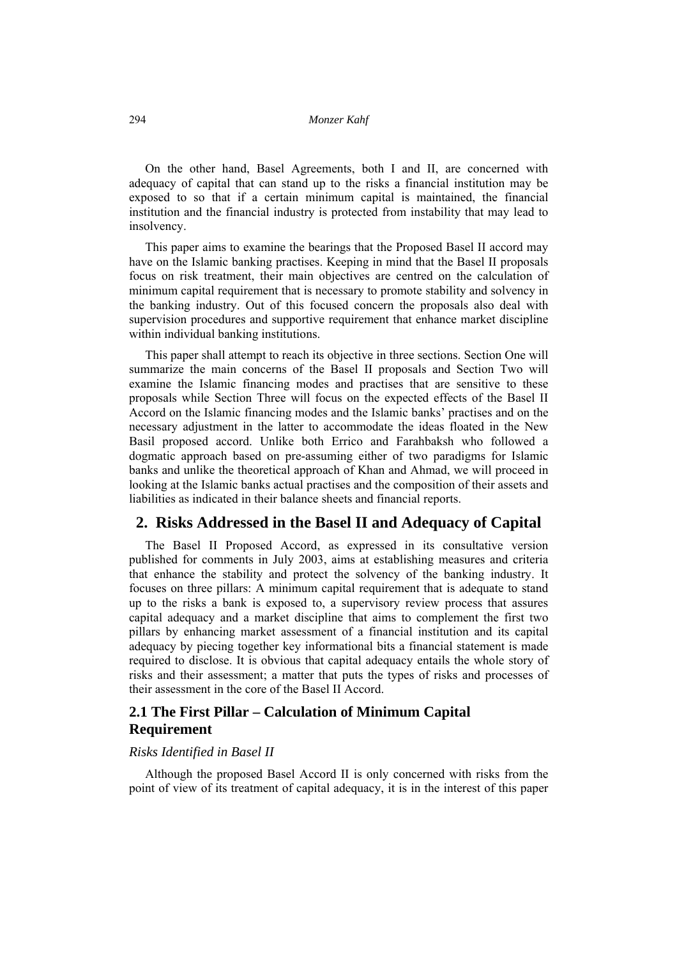On the other hand, Basel Agreements, both I and II, are concerned with adequacy of capital that can stand up to the risks a financial institution may be exposed to so that if a certain minimum capital is maintained, the financial institution and the financial industry is protected from instability that may lead to insolvency.

This paper aims to examine the bearings that the Proposed Basel II accord may have on the Islamic banking practises. Keeping in mind that the Basel II proposals focus on risk treatment, their main objectives are centred on the calculation of minimum capital requirement that is necessary to promote stability and solvency in the banking industry. Out of this focused concern the proposals also deal with supervision procedures and supportive requirement that enhance market discipline within individual banking institutions.

This paper shall attempt to reach its objective in three sections. Section One will summarize the main concerns of the Basel II proposals and Section Two will examine the Islamic financing modes and practises that are sensitive to these proposals while Section Three will focus on the expected effects of the Basel II Accord on the Islamic financing modes and the Islamic banks' practises and on the necessary adjustment in the latter to accommodate the ideas floated in the New Basil proposed accord. Unlike both Errico and Farahbaksh who followed a dogmatic approach based on pre-assuming either of two paradigms for Islamic banks and unlike the theoretical approach of Khan and Ahmad, we will proceed in looking at the Islamic banks actual practises and the composition of their assets and liabilities as indicated in their balance sheets and financial reports.

### **2. Risks Addressed in the Basel II and Adequacy of Capital**

The Basel II Proposed Accord, as expressed in its consultative version published for comments in July 2003, aims at establishing measures and criteria that enhance the stability and protect the solvency of the banking industry. It focuses on three pillars: A minimum capital requirement that is adequate to stand up to the risks a bank is exposed to, a supervisory review process that assures capital adequacy and a market discipline that aims to complement the first two pillars by enhancing market assessment of a financial institution and its capital adequacy by piecing together key informational bits a financial statement is made required to disclose. It is obvious that capital adequacy entails the whole story of risks and their assessment; a matter that puts the types of risks and processes of their assessment in the core of the Basel II Accord.

### **2.1 The First Pillar – Calculation of Minimum Capital Requirement**

### *Risks Identified in Basel II*

Although the proposed Basel Accord II is only concerned with risks from the point of view of its treatment of capital adequacy, it is in the interest of this paper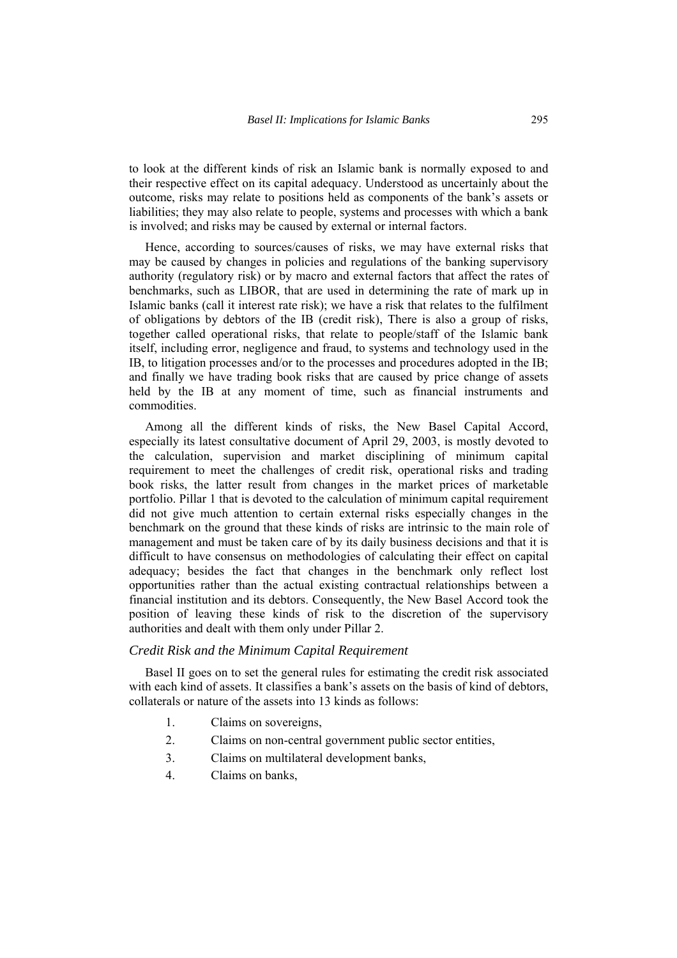to look at the different kinds of risk an Islamic bank is normally exposed to and their respective effect on its capital adequacy. Understood as uncertainly about the outcome, risks may relate to positions held as components of the bank's assets or liabilities; they may also relate to people, systems and processes with which a bank is involved; and risks may be caused by external or internal factors.

Hence, according to sources/causes of risks, we may have external risks that may be caused by changes in policies and regulations of the banking supervisory authority (regulatory risk) or by macro and external factors that affect the rates of benchmarks, such as LIBOR, that are used in determining the rate of mark up in Islamic banks (call it interest rate risk); we have a risk that relates to the fulfilment of obligations by debtors of the IB (credit risk), There is also a group of risks, together called operational risks, that relate to people/staff of the Islamic bank itself, including error, negligence and fraud, to systems and technology used in the IB, to litigation processes and/or to the processes and procedures adopted in the IB; and finally we have trading book risks that are caused by price change of assets held by the IB at any moment of time, such as financial instruments and commodities.

Among all the different kinds of risks, the New Basel Capital Accord, especially its latest consultative document of April 29, 2003, is mostly devoted to the calculation, supervision and market disciplining of minimum capital requirement to meet the challenges of credit risk, operational risks and trading book risks, the latter result from changes in the market prices of marketable portfolio. Pillar 1 that is devoted to the calculation of minimum capital requirement did not give much attention to certain external risks especially changes in the benchmark on the ground that these kinds of risks are intrinsic to the main role of management and must be taken care of by its daily business decisions and that it is difficult to have consensus on methodologies of calculating their effect on capital adequacy; besides the fact that changes in the benchmark only reflect lost opportunities rather than the actual existing contractual relationships between a financial institution and its debtors. Consequently, the New Basel Accord took the position of leaving these kinds of risk to the discretion of the supervisory authorities and dealt with them only under Pillar 2.

#### *Credit Risk and the Minimum Capital Requirement*

Basel II goes on to set the general rules for estimating the credit risk associated with each kind of assets. It classifies a bank's assets on the basis of kind of debtors, collaterals or nature of the assets into 13 kinds as follows:

- 1. Claims on sovereigns,
- 2. Claims on non-central government public sector entities,
- 3. Claims on multilateral development banks,
- 4. Claims on banks,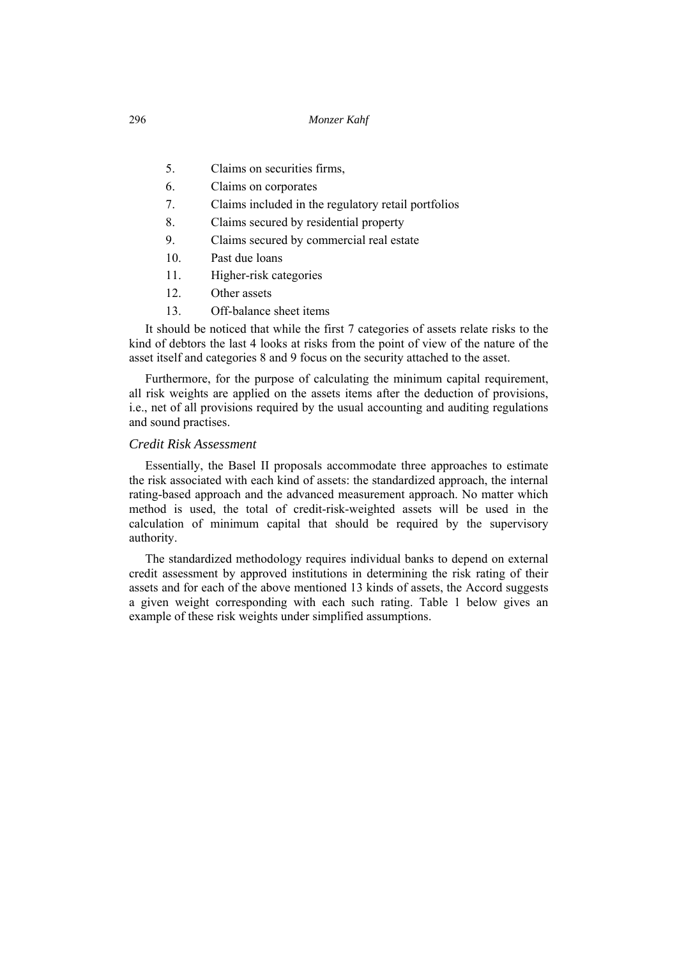- 5. Claims on securities firms,
- 6. Claims on corporates
- 7. Claims included in the regulatory retail portfolios
- 8. Claims secured by residential property
- 9. Claims secured by commercial real estate
- 10. Past due loans
- 11. Higher-risk categories
- 12. Other assets
- 13. Off-balance sheet items

It should be noticed that while the first 7 categories of assets relate risks to the kind of debtors the last 4 looks at risks from the point of view of the nature of the asset itself and categories 8 and 9 focus on the security attached to the asset.

Furthermore, for the purpose of calculating the minimum capital requirement, all risk weights are applied on the assets items after the deduction of provisions, i.e., net of all provisions required by the usual accounting and auditing regulations and sound practises.

### *Credit Risk Assessment*

Essentially, the Basel II proposals accommodate three approaches to estimate the risk associated with each kind of assets: the standardized approach, the internal rating-based approach and the advanced measurement approach. No matter which method is used, the total of credit-risk-weighted assets will be used in the calculation of minimum capital that should be required by the supervisory authority.

The standardized methodology requires individual banks to depend on external credit assessment by approved institutions in determining the risk rating of their assets and for each of the above mentioned 13 kinds of assets, the Accord suggests a given weight corresponding with each such rating. Table 1 below gives an example of these risk weights under simplified assumptions.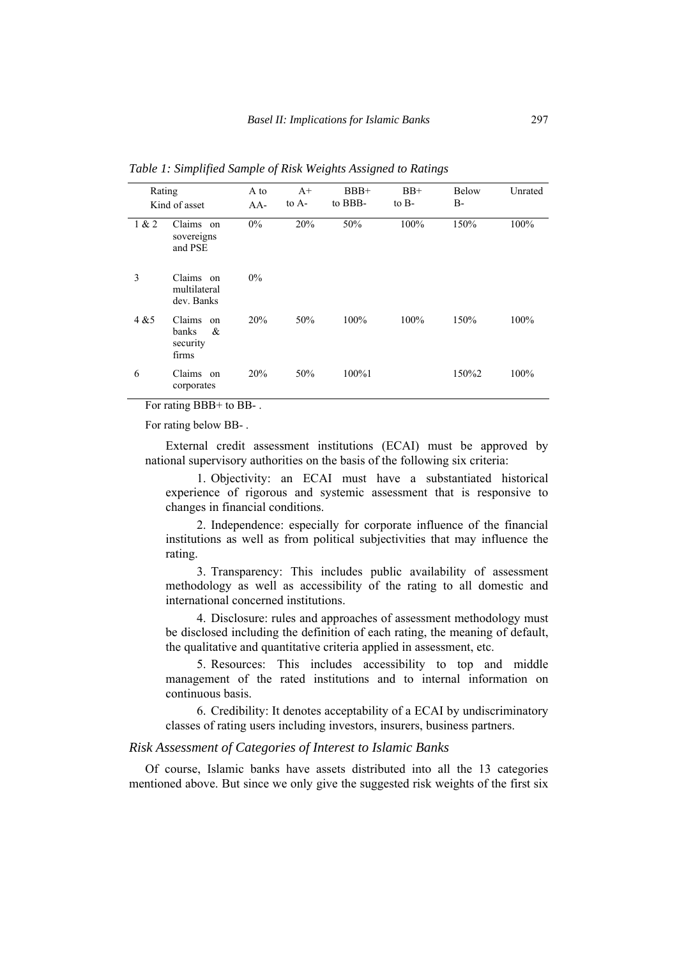| Rating<br>Kind of asset |                                                            | A to<br>$AA-$ | $A+$<br>to A- | $BBB+$<br>to BBB- | $BB+$<br>to $B-$ | Below<br>$B-$ | Unrated |
|-------------------------|------------------------------------------------------------|---------------|---------------|-------------------|------------------|---------------|---------|
| 1 & 2                   | $\overline{\text{Clains}}$ on<br>sovereigns<br>and PSE     | $0\%$         | 20%           | 50%               | 100%             | 150%          | 100%    |
| 3                       | Claims on<br>multilateral<br>dev. Banks                    | $0\%$         |               |                   |                  |               |         |
| 4 & 5                   | Claims<br><sub>on</sub><br>banks<br>&<br>security<br>firms | 20%           | 50%           | 100%              | $100\%$          | 150%          | 100%    |
| 6                       | Claims<br>on<br>corporates                                 | 20%           | 50%           | 100%1             |                  | 150%2         | 100%    |

*Table 1: Simplified Sample of Risk Weights Assigned to Ratings* 

For rating BBB+ to BB- .

For rating below BB- .

External credit assessment institutions (ECAI) must be approved by national supervisory authorities on the basis of the following six criteria:

1. Objectivity: an ECAI must have a substantiated historical experience of rigorous and systemic assessment that is responsive to changes in financial conditions.

2. Independence: especially for corporate influence of the financial institutions as well as from political subjectivities that may influence the rating.

3. Transparency: This includes public availability of assessment methodology as well as accessibility of the rating to all domestic and international concerned institutions.

4. Disclosure: rules and approaches of assessment methodology must be disclosed including the definition of each rating, the meaning of default, the qualitative and quantitative criteria applied in assessment, etc.

5. Resources: This includes accessibility to top and middle management of the rated institutions and to internal information on continuous basis.

6. Credibility: It denotes acceptability of a ECAI by undiscriminatory classes of rating users including investors, insurers, business partners.

### *Risk Assessment of Categories of Interest to Islamic Banks*

Of course, Islamic banks have assets distributed into all the 13 categories mentioned above. But since we only give the suggested risk weights of the first six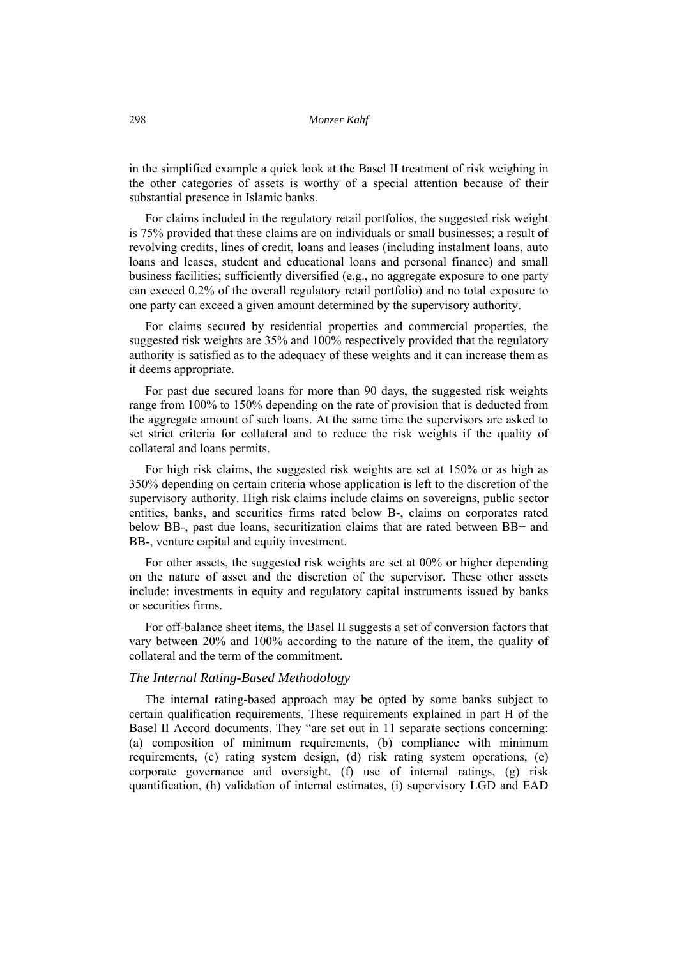in the simplified example a quick look at the Basel II treatment of risk weighing in the other categories of assets is worthy of a special attention because of their substantial presence in Islamic banks.

For claims included in the regulatory retail portfolios, the suggested risk weight is 75% provided that these claims are on individuals or small businesses; a result of revolving credits, lines of credit, loans and leases (including instalment loans, auto loans and leases, student and educational loans and personal finance) and small business facilities; sufficiently diversified (e.g., no aggregate exposure to one party can exceed 0.2% of the overall regulatory retail portfolio) and no total exposure to one party can exceed a given amount determined by the supervisory authority.

For claims secured by residential properties and commercial properties, the suggested risk weights are 35% and 100% respectively provided that the regulatory authority is satisfied as to the adequacy of these weights and it can increase them as it deems appropriate.

For past due secured loans for more than 90 days, the suggested risk weights range from 100% to 150% depending on the rate of provision that is deducted from the aggregate amount of such loans. At the same time the supervisors are asked to set strict criteria for collateral and to reduce the risk weights if the quality of collateral and loans permits.

For high risk claims, the suggested risk weights are set at 150% or as high as 350% depending on certain criteria whose application is left to the discretion of the supervisory authority. High risk claims include claims on sovereigns, public sector entities, banks, and securities firms rated below B-, claims on corporates rated below BB-, past due loans, securitization claims that are rated between BB+ and BB-, venture capital and equity investment.

For other assets, the suggested risk weights are set at 00% or higher depending on the nature of asset and the discretion of the supervisor. These other assets include: investments in equity and regulatory capital instruments issued by banks or securities firms.

For off-balance sheet items, the Basel II suggests a set of conversion factors that vary between 20% and 100% according to the nature of the item, the quality of collateral and the term of the commitment.

#### *The Internal Rating-Based Methodology*

The internal rating-based approach may be opted by some banks subject to certain qualification requirements. These requirements explained in part H of the Basel II Accord documents. They "are set out in 11 separate sections concerning: (a) composition of minimum requirements, (b) compliance with minimum requirements, (c) rating system design, (d) risk rating system operations, (e) corporate governance and oversight, (f) use of internal ratings, (g) risk quantification, (h) validation of internal estimates, (i) supervisory LGD and EAD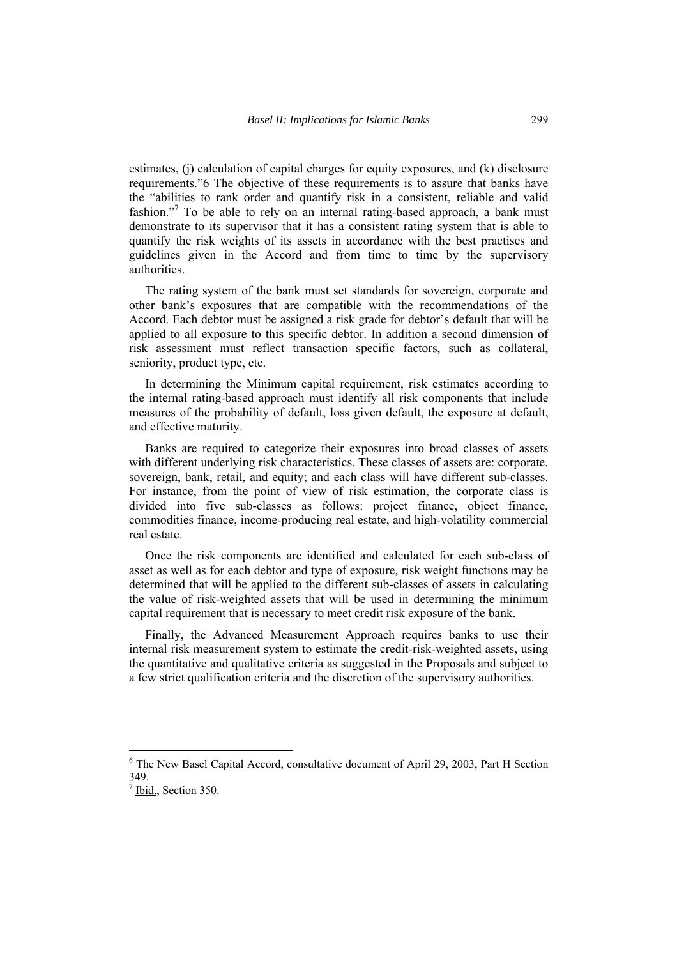estimates, (j) calculation of capital charges for equity exposures, and (k) disclosure requirements."6 The objective of these requirements is to assure that banks have the "abilities to rank order and quantify risk in a consistent, reliable and valid fashion."<sup>7</sup> To be able to rely on an internal rating-based approach, a bank must demonstrate to its supervisor that it has a consistent rating system that is able to quantify the risk weights of its assets in accordance with the best practises and guidelines given in the Accord and from time to time by the supervisory authorities.

The rating system of the bank must set standards for sovereign, corporate and other bank's exposures that are compatible with the recommendations of the Accord. Each debtor must be assigned a risk grade for debtor's default that will be applied to all exposure to this specific debtor. In addition a second dimension of risk assessment must reflect transaction specific factors, such as collateral, seniority, product type, etc.

In determining the Minimum capital requirement, risk estimates according to the internal rating-based approach must identify all risk components that include measures of the probability of default, loss given default, the exposure at default, and effective maturity.

Banks are required to categorize their exposures into broad classes of assets with different underlying risk characteristics. These classes of assets are: corporate, sovereign, bank, retail, and equity; and each class will have different sub-classes. For instance, from the point of view of risk estimation, the corporate class is divided into five sub-classes as follows: project finance, object finance, commodities finance, income-producing real estate, and high-volatility commercial real estate.

Once the risk components are identified and calculated for each sub-class of asset as well as for each debtor and type of exposure, risk weight functions may be determined that will be applied to the different sub-classes of assets in calculating the value of risk-weighted assets that will be used in determining the minimum capital requirement that is necessary to meet credit risk exposure of the bank.

Finally, the Advanced Measurement Approach requires banks to use their internal risk measurement system to estimate the credit-risk-weighted assets, using the quantitative and qualitative criteria as suggested in the Proposals and subject to a few strict qualification criteria and the discretion of the supervisory authorities.

<sup>&</sup>lt;sup>6</sup> The New Basel Capital Accord, consultative document of April 29, 2003, Part H Section 349.

 $<sup>7</sup>$  Ibid., Section 350.</sup>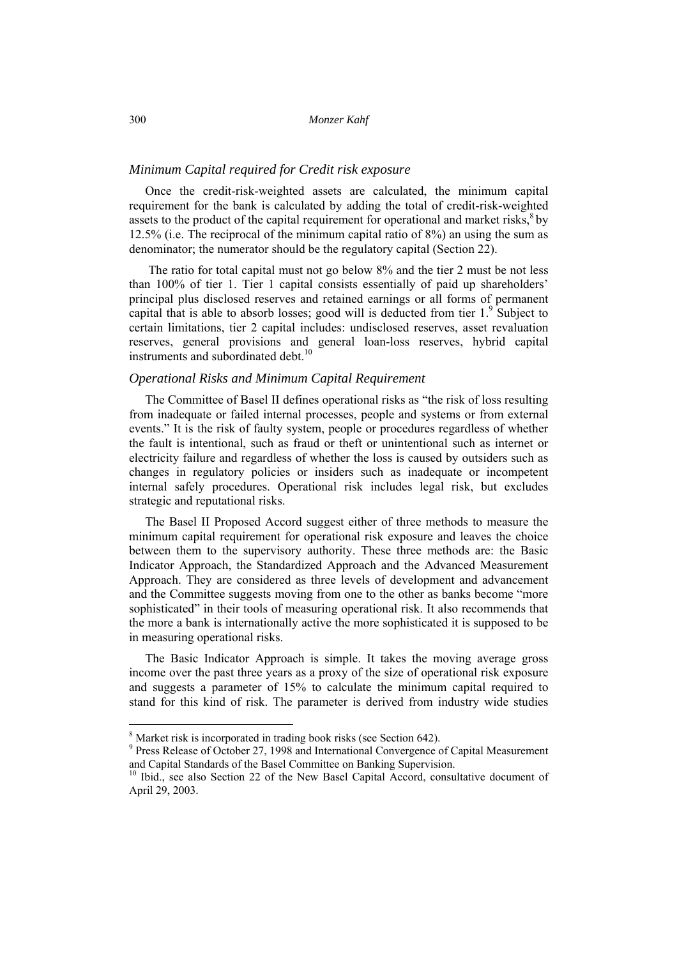#### *Minimum Capital required for Credit risk exposure*

Once the credit-risk-weighted assets are calculated, the minimum capital requirement for the bank is calculated by adding the total of credit-risk-weighted assets to the product of the capital requirement for operational and market risks, $8$  by 12.5% (i.e. The reciprocal of the minimum capital ratio of 8%) an using the sum as denominator; the numerator should be the regulatory capital (Section 22).

 The ratio for total capital must not go below 8% and the tier 2 must be not less than 100% of tier 1. Tier 1 capital consists essentially of paid up shareholders' principal plus disclosed reserves and retained earnings or all forms of permanent capital that is able to absorb losses; good will is deducted from tier  $1.9^\circ$  Subject to certain limitations, tier 2 capital includes: undisclosed reserves, asset revaluation reserves, general provisions and general loan-loss reserves, hybrid capital instruments and subordinated debt.<sup>10</sup>

#### *Operational Risks and Minimum Capital Requirement*

The Committee of Basel II defines operational risks as "the risk of loss resulting from inadequate or failed internal processes, people and systems or from external events." It is the risk of faulty system, people or procedures regardless of whether the fault is intentional, such as fraud or theft or unintentional such as internet or electricity failure and regardless of whether the loss is caused by outsiders such as changes in regulatory policies or insiders such as inadequate or incompetent internal safely procedures. Operational risk includes legal risk, but excludes strategic and reputational risks.

The Basel II Proposed Accord suggest either of three methods to measure the minimum capital requirement for operational risk exposure and leaves the choice between them to the supervisory authority. These three methods are: the Basic Indicator Approach, the Standardized Approach and the Advanced Measurement Approach. They are considered as three levels of development and advancement and the Committee suggests moving from one to the other as banks become "more sophisticated" in their tools of measuring operational risk. It also recommends that the more a bank is internationally active the more sophisticated it is supposed to be in measuring operational risks.

The Basic Indicator Approach is simple. It takes the moving average gross income over the past three years as a proxy of the size of operational risk exposure and suggests a parameter of 15% to calculate the minimum capital required to stand for this kind of risk. The parameter is derived from industry wide studies

 $\frac{8}{9}$  Market risk is incorporated in trading book risks (see Section 642).

<sup>&</sup>lt;sup>9</sup> Press Release of October 27, 1998 and International Convergence of Capital Measurement and Capital Standards of the Basel Committee on Banking Supervision.

<sup>&</sup>lt;sup>10</sup> Ibid., see also Section 22 of the New Basel Capital Accord, consultative document of April 29, 2003.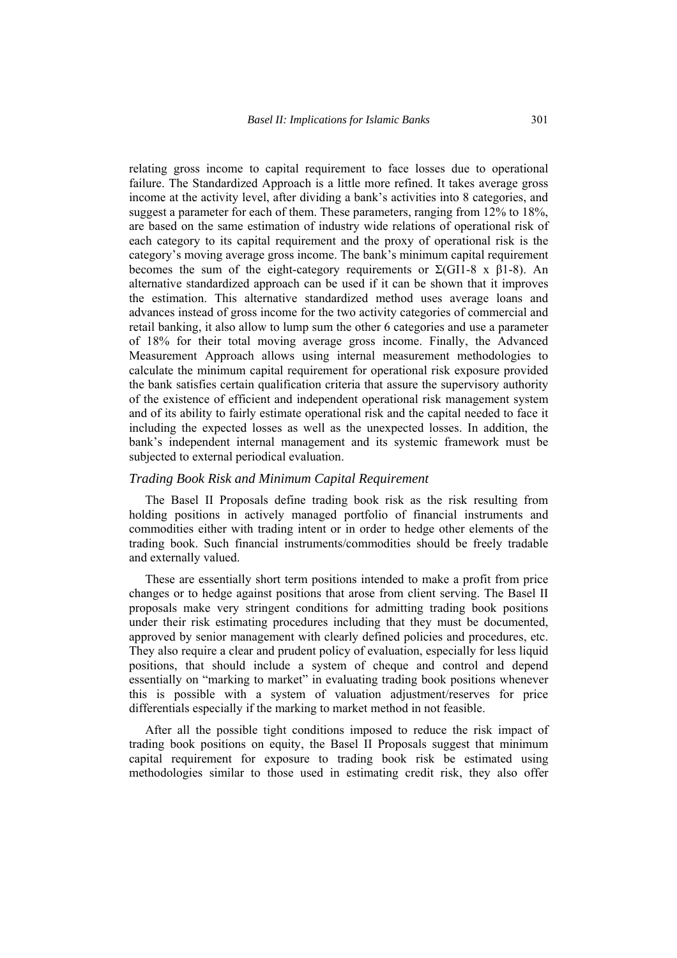relating gross income to capital requirement to face losses due to operational failure. The Standardized Approach is a little more refined. It takes average gross income at the activity level, after dividing a bank's activities into 8 categories, and suggest a parameter for each of them. These parameters, ranging from 12% to 18%, are based on the same estimation of industry wide relations of operational risk of each category to its capital requirement and the proxy of operational risk is the category's moving average gross income. The bank's minimum capital requirement becomes the sum of the eight-category requirements or  $\Sigma$ (GI1-8 x  $\beta$ 1-8). An alternative standardized approach can be used if it can be shown that it improves the estimation. This alternative standardized method uses average loans and advances instead of gross income for the two activity categories of commercial and retail banking, it also allow to lump sum the other 6 categories and use a parameter of 18% for their total moving average gross income. Finally, the Advanced Measurement Approach allows using internal measurement methodologies to calculate the minimum capital requirement for operational risk exposure provided the bank satisfies certain qualification criteria that assure the supervisory authority of the existence of efficient and independent operational risk management system and of its ability to fairly estimate operational risk and the capital needed to face it including the expected losses as well as the unexpected losses. In addition, the bank's independent internal management and its systemic framework must be subjected to external periodical evaluation.

#### *Trading Book Risk and Minimum Capital Requirement*

The Basel II Proposals define trading book risk as the risk resulting from holding positions in actively managed portfolio of financial instruments and commodities either with trading intent or in order to hedge other elements of the trading book. Such financial instruments/commodities should be freely tradable and externally valued.

These are essentially short term positions intended to make a profit from price changes or to hedge against positions that arose from client serving. The Basel II proposals make very stringent conditions for admitting trading book positions under their risk estimating procedures including that they must be documented, approved by senior management with clearly defined policies and procedures, etc. They also require a clear and prudent policy of evaluation, especially for less liquid positions, that should include a system of cheque and control and depend essentially on "marking to market" in evaluating trading book positions whenever this is possible with a system of valuation adjustment/reserves for price differentials especially if the marking to market method in not feasible.

After all the possible tight conditions imposed to reduce the risk impact of trading book positions on equity, the Basel II Proposals suggest that minimum capital requirement for exposure to trading book risk be estimated using methodologies similar to those used in estimating credit risk, they also offer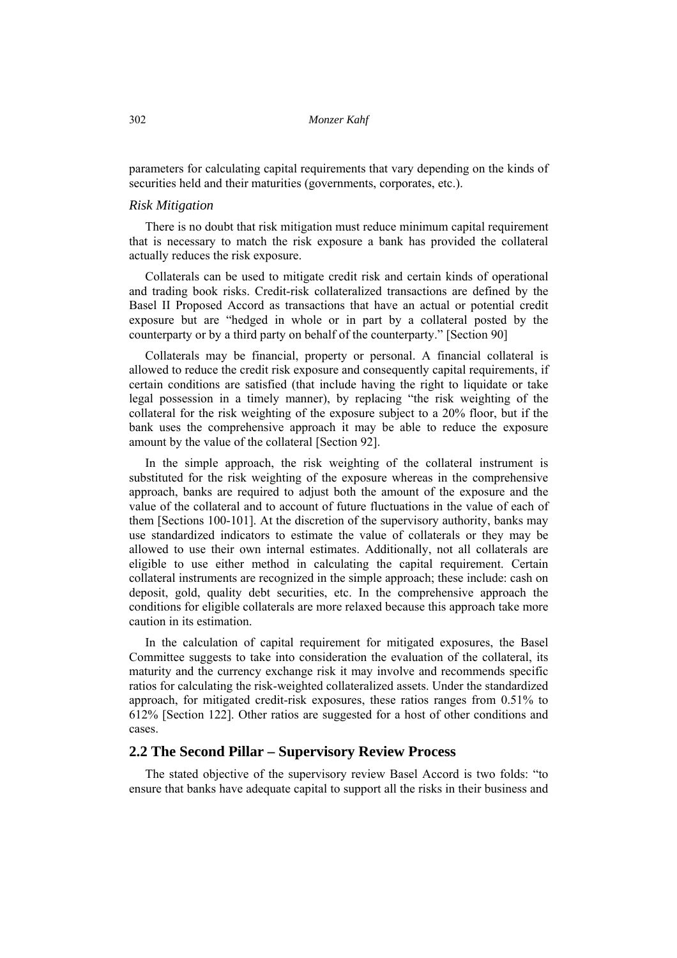parameters for calculating capital requirements that vary depending on the kinds of securities held and their maturities (governments, corporates, etc.).

#### *Risk Mitigation*

There is no doubt that risk mitigation must reduce minimum capital requirement that is necessary to match the risk exposure a bank has provided the collateral actually reduces the risk exposure.

Collaterals can be used to mitigate credit risk and certain kinds of operational and trading book risks. Credit-risk collateralized transactions are defined by the Basel II Proposed Accord as transactions that have an actual or potential credit exposure but are "hedged in whole or in part by a collateral posted by the counterparty or by a third party on behalf of the counterparty." [Section 90]

Collaterals may be financial, property or personal. A financial collateral is allowed to reduce the credit risk exposure and consequently capital requirements, if certain conditions are satisfied (that include having the right to liquidate or take legal possession in a timely manner), by replacing "the risk weighting of the collateral for the risk weighting of the exposure subject to a 20% floor, but if the bank uses the comprehensive approach it may be able to reduce the exposure amount by the value of the collateral [Section 92].

In the simple approach, the risk weighting of the collateral instrument is substituted for the risk weighting of the exposure whereas in the comprehensive approach, banks are required to adjust both the amount of the exposure and the value of the collateral and to account of future fluctuations in the value of each of them [Sections 100-101]. At the discretion of the supervisory authority, banks may use standardized indicators to estimate the value of collaterals or they may be allowed to use their own internal estimates. Additionally, not all collaterals are eligible to use either method in calculating the capital requirement. Certain collateral instruments are recognized in the simple approach; these include: cash on deposit, gold, quality debt securities, etc. In the comprehensive approach the conditions for eligible collaterals are more relaxed because this approach take more caution in its estimation.

In the calculation of capital requirement for mitigated exposures, the Basel Committee suggests to take into consideration the evaluation of the collateral, its maturity and the currency exchange risk it may involve and recommends specific ratios for calculating the risk-weighted collateralized assets. Under the standardized approach, for mitigated credit-risk exposures, these ratios ranges from 0.51% to 612% [Section 122]. Other ratios are suggested for a host of other conditions and cases.

### **2.2 The Second Pillar – Supervisory Review Process**

The stated objective of the supervisory review Basel Accord is two folds: "to ensure that banks have adequate capital to support all the risks in their business and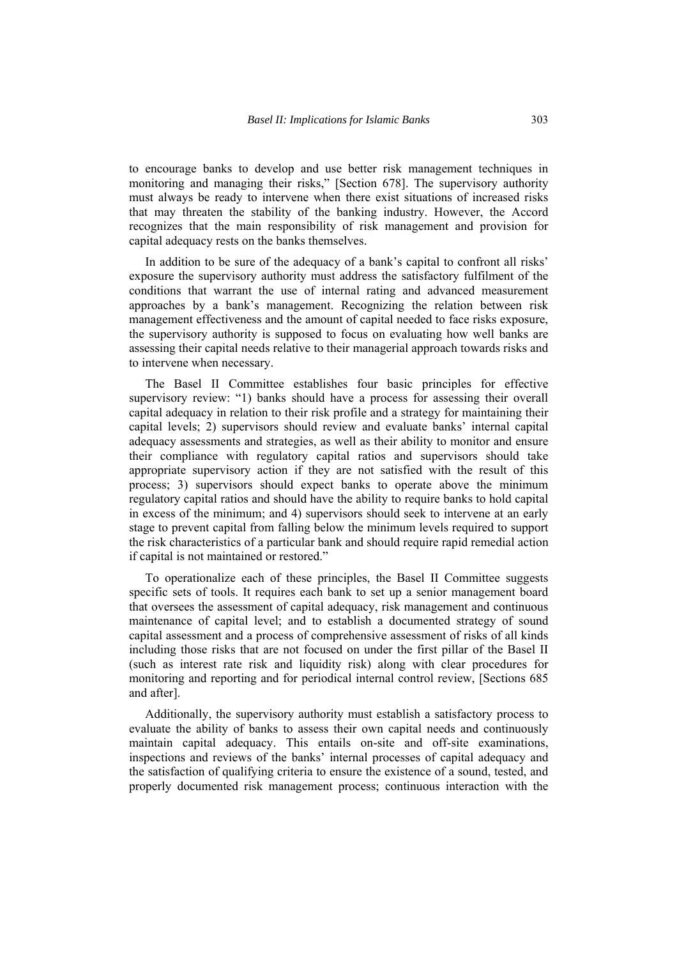to encourage banks to develop and use better risk management techniques in monitoring and managing their risks," [Section 678]. The supervisory authority must always be ready to intervene when there exist situations of increased risks that may threaten the stability of the banking industry. However, the Accord recognizes that the main responsibility of risk management and provision for capital adequacy rests on the banks themselves.

In addition to be sure of the adequacy of a bank's capital to confront all risks' exposure the supervisory authority must address the satisfactory fulfilment of the conditions that warrant the use of internal rating and advanced measurement approaches by a bank's management. Recognizing the relation between risk management effectiveness and the amount of capital needed to face risks exposure, the supervisory authority is supposed to focus on evaluating how well banks are assessing their capital needs relative to their managerial approach towards risks and to intervene when necessary.

The Basel II Committee establishes four basic principles for effective supervisory review: "1) banks should have a process for assessing their overall capital adequacy in relation to their risk profile and a strategy for maintaining their capital levels; 2) supervisors should review and evaluate banks' internal capital adequacy assessments and strategies, as well as their ability to monitor and ensure their compliance with regulatory capital ratios and supervisors should take appropriate supervisory action if they are not satisfied with the result of this process; 3) supervisors should expect banks to operate above the minimum regulatory capital ratios and should have the ability to require banks to hold capital in excess of the minimum; and 4) supervisors should seek to intervene at an early stage to prevent capital from falling below the minimum levels required to support the risk characteristics of a particular bank and should require rapid remedial action if capital is not maintained or restored."

To operationalize each of these principles, the Basel II Committee suggests specific sets of tools. It requires each bank to set up a senior management board that oversees the assessment of capital adequacy, risk management and continuous maintenance of capital level; and to establish a documented strategy of sound capital assessment and a process of comprehensive assessment of risks of all kinds including those risks that are not focused on under the first pillar of the Basel II (such as interest rate risk and liquidity risk) along with clear procedures for monitoring and reporting and for periodical internal control review, [Sections 685 and after].

Additionally, the supervisory authority must establish a satisfactory process to evaluate the ability of banks to assess their own capital needs and continuously maintain capital adequacy. This entails on-site and off-site examinations, inspections and reviews of the banks' internal processes of capital adequacy and the satisfaction of qualifying criteria to ensure the existence of a sound, tested, and properly documented risk management process; continuous interaction with the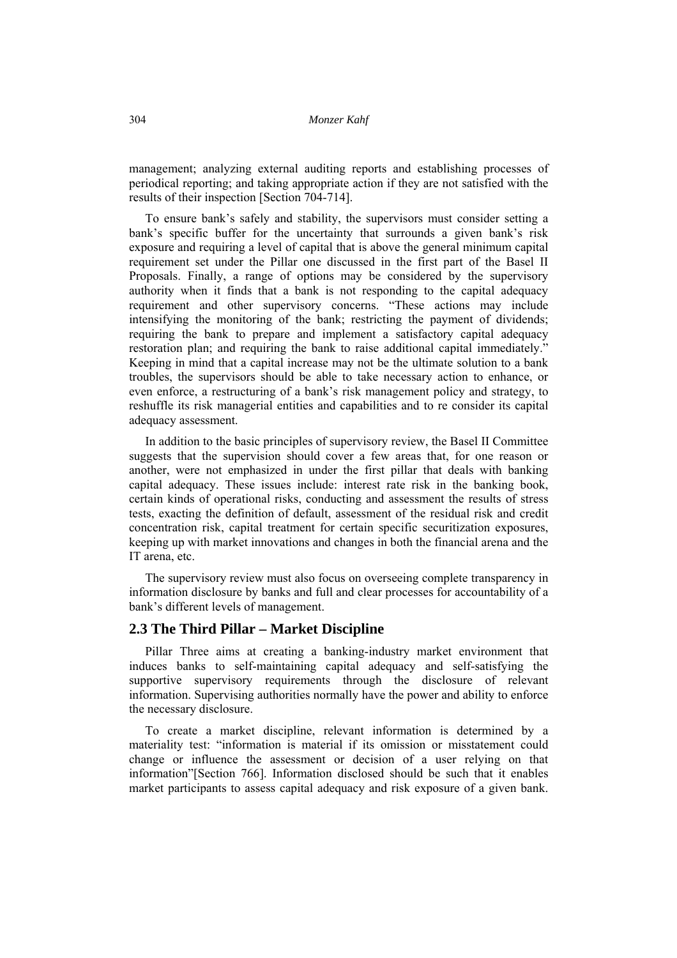management; analyzing external auditing reports and establishing processes of periodical reporting; and taking appropriate action if they are not satisfied with the results of their inspection [Section 704-714].

To ensure bank's safely and stability, the supervisors must consider setting a bank's specific buffer for the uncertainty that surrounds a given bank's risk exposure and requiring a level of capital that is above the general minimum capital requirement set under the Pillar one discussed in the first part of the Basel II Proposals. Finally, a range of options may be considered by the supervisory authority when it finds that a bank is not responding to the capital adequacy requirement and other supervisory concerns. "These actions may include intensifying the monitoring of the bank; restricting the payment of dividends; requiring the bank to prepare and implement a satisfactory capital adequacy restoration plan; and requiring the bank to raise additional capital immediately." Keeping in mind that a capital increase may not be the ultimate solution to a bank troubles, the supervisors should be able to take necessary action to enhance, or even enforce, a restructuring of a bank's risk management policy and strategy, to reshuffle its risk managerial entities and capabilities and to re consider its capital adequacy assessment.

In addition to the basic principles of supervisory review, the Basel II Committee suggests that the supervision should cover a few areas that, for one reason or another, were not emphasized in under the first pillar that deals with banking capital adequacy. These issues include: interest rate risk in the banking book, certain kinds of operational risks, conducting and assessment the results of stress tests, exacting the definition of default, assessment of the residual risk and credit concentration risk, capital treatment for certain specific securitization exposures, keeping up with market innovations and changes in both the financial arena and the IT arena, etc.

The supervisory review must also focus on overseeing complete transparency in information disclosure by banks and full and clear processes for accountability of a bank's different levels of management.

### **2.3 The Third Pillar – Market Discipline**

Pillar Three aims at creating a banking-industry market environment that induces banks to self-maintaining capital adequacy and self-satisfying the supportive supervisory requirements through the disclosure of relevant information. Supervising authorities normally have the power and ability to enforce the necessary disclosure.

To create a market discipline, relevant information is determined by a materiality test: "information is material if its omission or misstatement could change or influence the assessment or decision of a user relying on that information"[Section 766]. Information disclosed should be such that it enables market participants to assess capital adequacy and risk exposure of a given bank.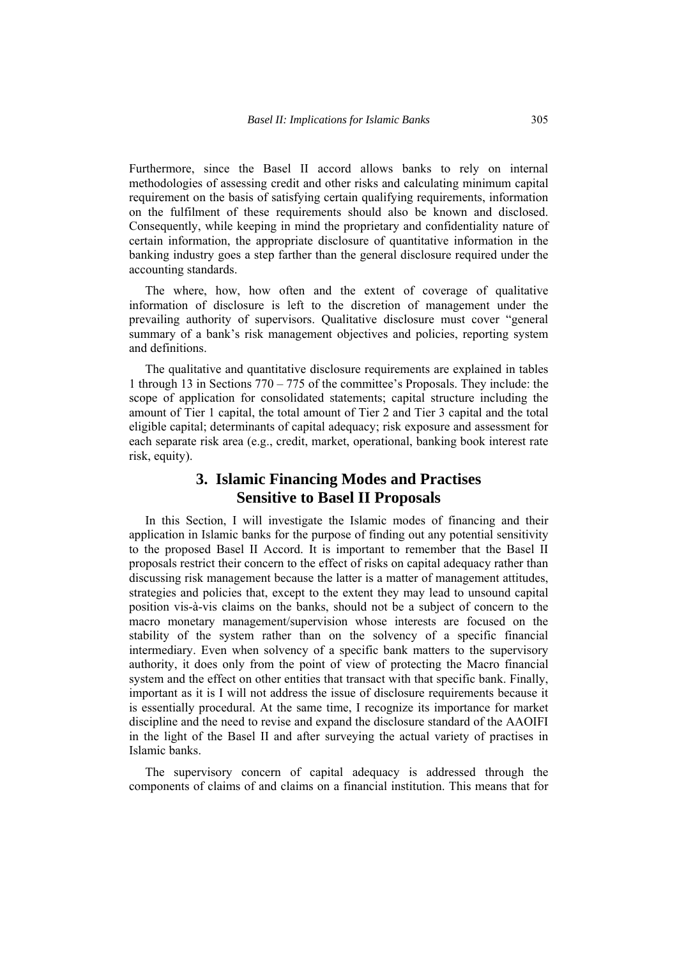Furthermore, since the Basel II accord allows banks to rely on internal methodologies of assessing credit and other risks and calculating minimum capital requirement on the basis of satisfying certain qualifying requirements, information on the fulfilment of these requirements should also be known and disclosed. Consequently, while keeping in mind the proprietary and confidentiality nature of certain information, the appropriate disclosure of quantitative information in the banking industry goes a step farther than the general disclosure required under the accounting standards.

The where, how, how often and the extent of coverage of qualitative information of disclosure is left to the discretion of management under the prevailing authority of supervisors. Qualitative disclosure must cover "general summary of a bank's risk management objectives and policies, reporting system and definitions.

The qualitative and quantitative disclosure requirements are explained in tables 1 through 13 in Sections 770 – 775 of the committee's Proposals. They include: the scope of application for consolidated statements; capital structure including the amount of Tier 1 capital, the total amount of Tier 2 and Tier 3 capital and the total eligible capital; determinants of capital adequacy; risk exposure and assessment for each separate risk area (e.g., credit, market, operational, banking book interest rate risk, equity).

## **3. Islamic Financing Modes and Practises Sensitive to Basel II Proposals**

In this Section, I will investigate the Islamic modes of financing and their application in Islamic banks for the purpose of finding out any potential sensitivity to the proposed Basel II Accord. It is important to remember that the Basel II proposals restrict their concern to the effect of risks on capital adequacy rather than discussing risk management because the latter is a matter of management attitudes, strategies and policies that, except to the extent they may lead to unsound capital position vis-à-vis claims on the banks, should not be a subject of concern to the macro monetary management/supervision whose interests are focused on the stability of the system rather than on the solvency of a specific financial intermediary. Even when solvency of a specific bank matters to the supervisory authority, it does only from the point of view of protecting the Macro financial system and the effect on other entities that transact with that specific bank. Finally, important as it is I will not address the issue of disclosure requirements because it is essentially procedural. At the same time, I recognize its importance for market discipline and the need to revise and expand the disclosure standard of the AAOIFI in the light of the Basel II and after surveying the actual variety of practises in Islamic banks.

The supervisory concern of capital adequacy is addressed through the components of claims of and claims on a financial institution. This means that for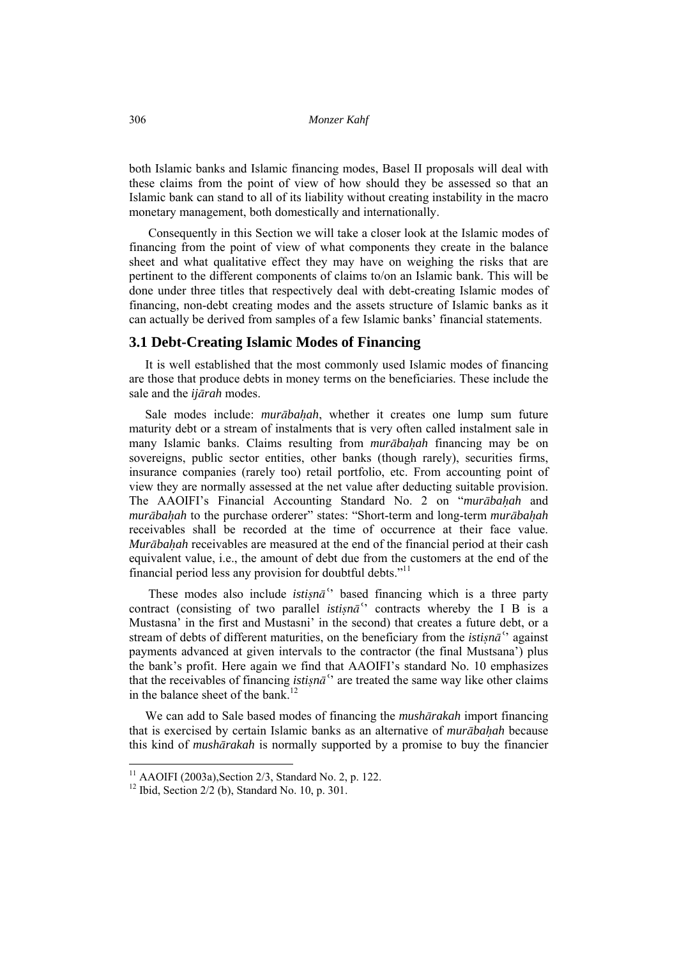both Islamic banks and Islamic financing modes, Basel II proposals will deal with these claims from the point of view of how should they be assessed so that an Islamic bank can stand to all of its liability without creating instability in the macro monetary management, both domestically and internationally.

 Consequently in this Section we will take a closer look at the Islamic modes of financing from the point of view of what components they create in the balance sheet and what qualitative effect they may have on weighing the risks that are pertinent to the different components of claims to/on an Islamic bank. This will be done under three titles that respectively deal with debt-creating Islamic modes of financing, non-debt creating modes and the assets structure of Islamic banks as it can actually be derived from samples of a few Islamic banks' financial statements.

### **3.1 Debt-Creating Islamic Modes of Financing**

It is well established that the most commonly used Islamic modes of financing are those that produce debts in money terms on the beneficiaries. These include the sale and the *ijarah* modes.

Sale modes include: *murabahah*, whether it creates one lump sum future maturity debt or a stream of instalments that is very often called instalment sale in many Islamic banks. Claims resulting from *murabahah* financing may be on sovereigns, public sector entities, other banks (though rarely), securities firms, insurance companies (rarely too) retail portfolio, etc. From accounting point of view they are normally assessed at the net value after deducting suitable provision. The AAOIFI's Financial Accounting Standard No. 2 on "*murabahah* and *murabahah* to the purchase orderer" states: "Short-term and long-term *murabahah* receivables shall be recorded at the time of occurrence at their face value. *Murabahah* receivables are measured at the end of the financial period at their cash equivalent value, i.e., the amount of debt due from the customers at the end of the financial period less any provision for doubtful debts."<sup>11</sup>

These modes also include *istisna<sup>c*</sup> based financing which is a three party contract (consisting of two parallel *istisna<sup>{''</sup>* contracts whereby the I B is a Mustasna' in the first and Mustasni' in the second) that creates a future debt, or a stream of debts of different maturities, on the beneficiary from the *istisna*<sup>c</sup> against payments advanced at given intervals to the contractor (the final Mustsana') plus the bank's profit. Here again we find that AAOIFI's standard No. 10 emphasizes that the receivables of financing *istisna*<sup> $\circ$ </sup> are treated the same way like other claims in the balance sheet of the bank.<sup>12</sup>

We can add to Sale based modes of financing the *musharakah* import financing that is exercised by certain Islamic banks as an alternative of *murabahah* because this kind of *musharakah* is normally supported by a promise to buy the financier

 $11$  AAOIFI (2003a), Section 2/3, Standard No. 2, p. 122.

 $12$  Ibid, Section  $2/2$  (b), Standard No. 10, p. 301.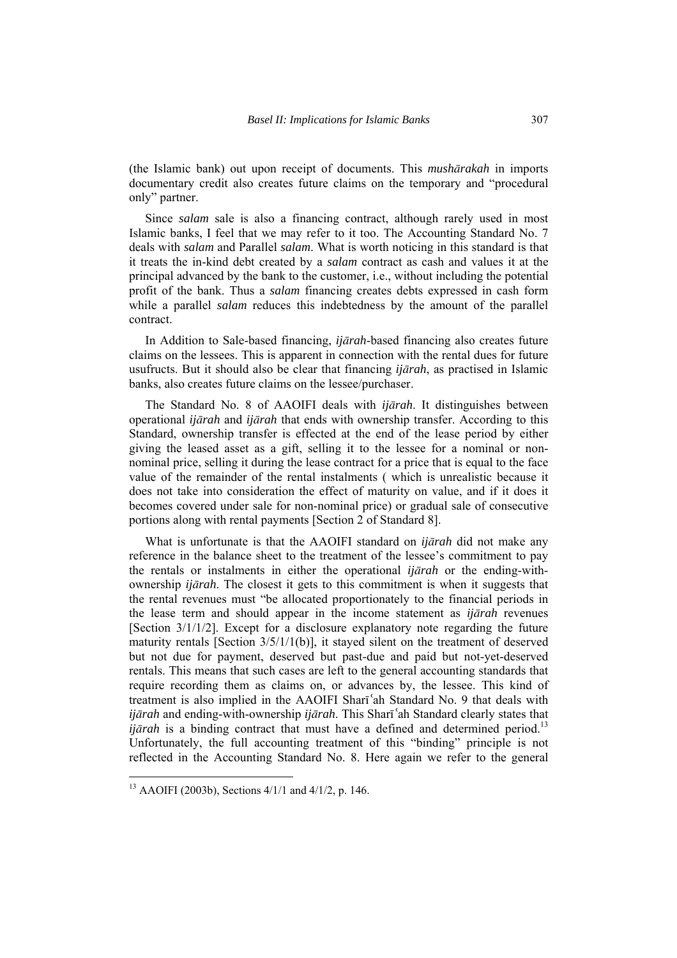(the Islamic bank) out upon receipt of documents. This *musharakah* in imports documentary credit also creates future claims on the temporary and "procedural only" partner.

Since *salam* sale is also a financing contract, although rarely used in most Islamic banks, I feel that we may refer to it too. The Accounting Standard No. 7 deals with *salam* and Parallel *salam*. What is worth noticing in this standard is that it treats the in-kind debt created by a *salam* contract as cash and values it at the principal advanced by the bank to the customer, i.e., without including the potential profit of the bank. Thus a *salam* financing creates debts expressed in cash form while a parallel *salam* reduces this indebtedness by the amount of the parallel contract.

In Addition to Sale-based financing, *ijarah*-based financing also creates future claims on the lessees. This is apparent in connection with the rental dues for future usufructs. But it should also be clear that financing *ijarah*, as practised in Islamic banks, also creates future claims on the lessee/purchaser.

The Standard No. 8 of AAOIFI deals with *ijarah*. It distinguishes between operational *ijarah* and *ijarah* that ends with ownership transfer. According to this Standard, ownership transfer is effected at the end of the lease period by either giving the leased asset as a gift, selling it to the lessee for a nominal or nonnominal price, selling it during the lease contract for a price that is equal to the face value of the remainder of the rental instalments ( which is unrealistic because it does not take into consideration the effect of maturity on value, and if it does it becomes covered under sale for non-nominal price) or gradual sale of consecutive portions along with rental payments [Section 2 of Standard 8].

What is unfortunate is that the AAOIFI standard on *ijarah* did not make any reference in the balance sheet to the treatment of the lessee's commitment to pay the rentals or instalments in either the operational *ijarah* or the ending-withownership *ijarah*. The closest it gets to this commitment is when it suggests that the rental revenues must "be allocated proportionately to the financial periods in the lease term and should appear in the income statement as *ijarah* revenues [Section 3/1/1/2]. Except for a disclosure explanatory note regarding the future maturity rentals [Section 3/5/1/1(b)], it stayed silent on the treatment of deserved but not due for payment, deserved but past-due and paid but not-yet-deserved rentals. This means that such cases are left to the general accounting standards that require recording them as claims on, or advances by, the lessee. This kind of treatment is also implied in the AAOIFI Shari<sup>'</sup>ah Standard No. 9 that deals with *ijārah* and ending-with-ownership *ijārah*. This Sharī<sup>'</sup>ah Standard clearly states that *ij* $\bar{a}$ *rah* is a binding contract that must have a defined and determined period.<sup>13</sup> Unfortunately, the full accounting treatment of this "binding" principle is not reflected in the Accounting Standard No. 8. Here again we refer to the general

<sup>13</sup> AAOIFI (2003b), Sections 4/1/1 and 4/1/2, p. 146.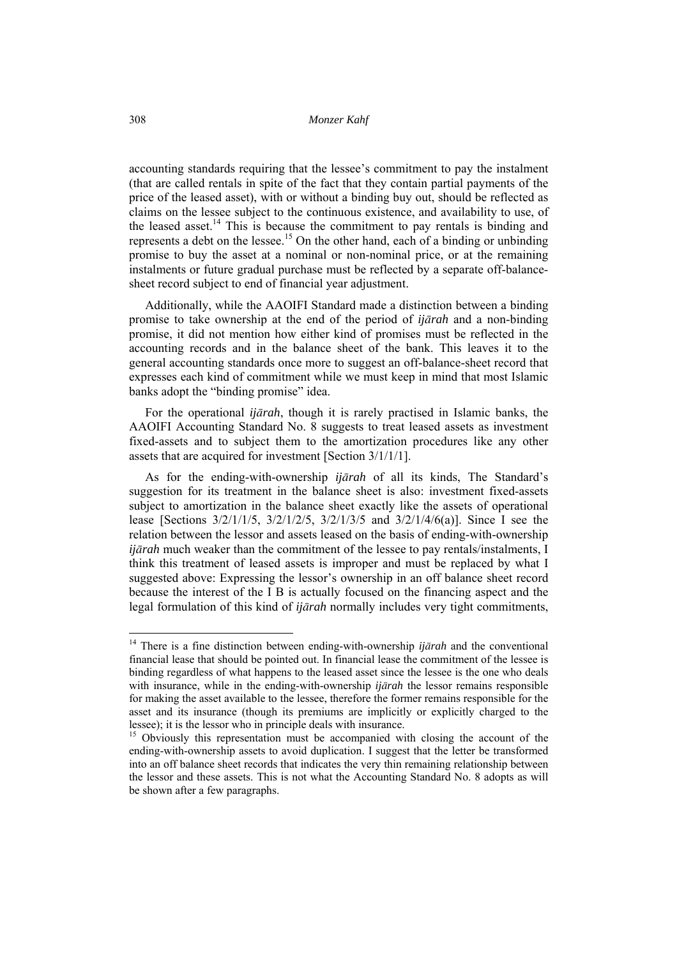accounting standards requiring that the lessee's commitment to pay the instalment (that are called rentals in spite of the fact that they contain partial payments of the price of the leased asset), with or without a binding buy out, should be reflected as claims on the lessee subject to the continuous existence, and availability to use, of the leased asset.<sup>14</sup> This is because the commitment to pay rentals is binding and represents a debt on the lessee.<sup>15</sup> On the other hand, each of a binding or unbinding promise to buy the asset at a nominal or non-nominal price, or at the remaining instalments or future gradual purchase must be reflected by a separate off-balancesheet record subject to end of financial year adjustment.

Additionally, while the AAOIFI Standard made a distinction between a binding promise to take ownership at the end of the period of *ijarah* and a non-binding promise, it did not mention how either kind of promises must be reflected in the accounting records and in the balance sheet of the bank. This leaves it to the general accounting standards once more to suggest an off-balance-sheet record that expresses each kind of commitment while we must keep in mind that most Islamic banks adopt the "binding promise" idea.

For the operational *ijarah*, though it is rarely practised in Islamic banks, the AAOIFI Accounting Standard No. 8 suggests to treat leased assets as investment fixed-assets and to subject them to the amortization procedures like any other assets that are acquired for investment [Section 3/1/1/1].

As for the ending-with-ownership *ijarah* of all its kinds, The Standard's suggestion for its treatment in the balance sheet is also: investment fixed-assets subject to amortization in the balance sheet exactly like the assets of operational lease [Sections 3/2/1/1/5, 3/2/1/2/5, 3/2/1/3/5 and 3/2/1/4/6(a)]. Since I see the relation between the lessor and assets leased on the basis of ending-with-ownership *i* $i\bar{a}$ *rah* much weaker than the commitment of the lessee to pay rentals/instalments, I think this treatment of leased assets is improper and must be replaced by what I suggested above: Expressing the lessor's ownership in an off balance sheet record because the interest of the I B is actually focused on the financing aspect and the legal formulation of this kind of *ijarah* normally includes very tight commitments,

<sup>14</sup> There is a fine distinction between ending-with-ownership *ijarah* and the conventional financial lease that should be pointed out. In financial lease the commitment of the lessee is binding regardless of what happens to the leased asset since the lessee is the one who deals with insurance, while in the ending-with-ownership *ijarah* the lessor remains responsible for making the asset available to the lessee, therefore the former remains responsible for the asset and its insurance (though its premiums are implicitly or explicitly charged to the lessee); it is the lessor who in principle deals with insurance.

<sup>15</sup> Obviously this representation must be accompanied with closing the account of the ending-with-ownership assets to avoid duplication. I suggest that the letter be transformed into an off balance sheet records that indicates the very thin remaining relationship between the lessor and these assets. This is not what the Accounting Standard No. 8 adopts as will be shown after a few paragraphs.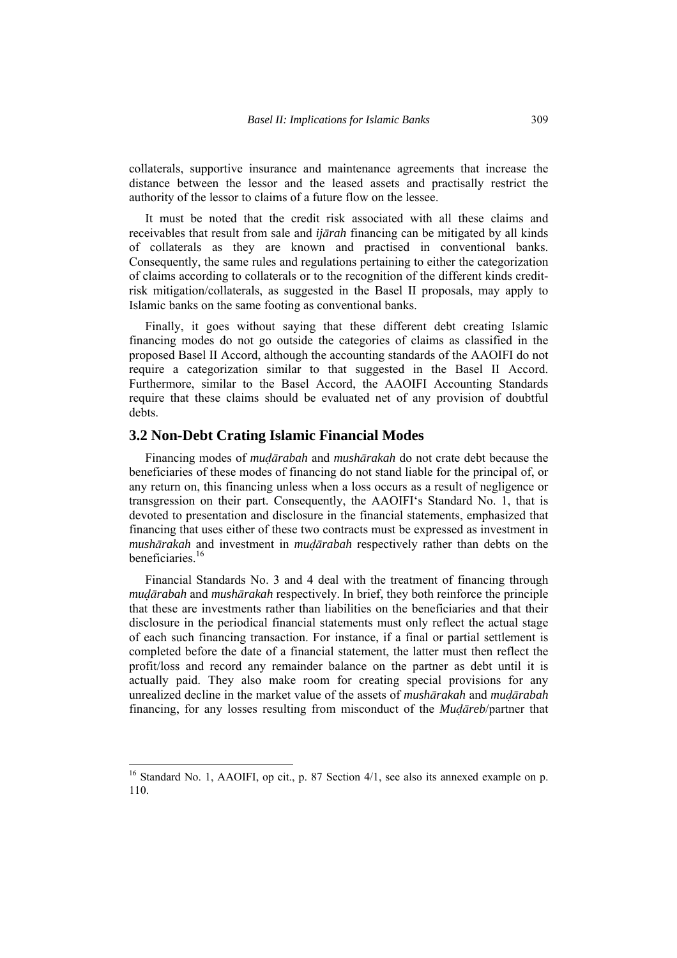collaterals, supportive insurance and maintenance agreements that increase the distance between the lessor and the leased assets and practisally restrict the authority of the lessor to claims of a future flow on the lessee.

It must be noted that the credit risk associated with all these claims and receivables that result from sale and *ijarah* financing can be mitigated by all kinds of collaterals as they are known and practised in conventional banks. Consequently, the same rules and regulations pertaining to either the categorization of claims according to collaterals or to the recognition of the different kinds creditrisk mitigation/collaterals, as suggested in the Basel II proposals, may apply to Islamic banks on the same footing as conventional banks.

Finally, it goes without saying that these different debt creating Islamic financing modes do not go outside the categories of claims as classified in the proposed Basel II Accord, although the accounting standards of the AAOIFI do not require a categorization similar to that suggested in the Basel II Accord. Furthermore, similar to the Basel Accord, the AAOIFI Accounting Standards require that these claims should be evaluated net of any provision of doubtful debts.

### **3.2 Non-Debt Crating Islamic Financial Modes**

 $\overline{a}$ 

Financing modes of *mudarabah* and *musharakah* do not crate debt because the beneficiaries of these modes of financing do not stand liable for the principal of, or any return on, this financing unless when a loss occurs as a result of negligence or transgression on their part. Consequently, the AAOIFI's Standard No. 1, that is devoted to presentation and disclosure in the financial statements, emphasized that financing that uses either of these two contracts must be expressed as investment in *musharakah* and investment in *mudarabah* respectively rather than debts on the beneficiaries $16$ 

Financial Standards No. 3 and 4 deal with the treatment of financing through *mudarabah* and *musharakah* respectively. In brief, they both reinforce the principle that these are investments rather than liabilities on the beneficiaries and that their disclosure in the periodical financial statements must only reflect the actual stage of each such financing transaction. For instance, if a final or partial settlement is completed before the date of a financial statement, the latter must then reflect the profit/loss and record any remainder balance on the partner as debt until it is actually paid. They also make room for creating special provisions for any unrealized decline in the market value of the assets of *musharakah* and *mudarabah* financing, for any losses resulting from misconduct of the *Mudareb*/partner that

<sup>&</sup>lt;sup>16</sup> Standard No. 1, AAOIFI, op cit., p. 87 Section 4/1, see also its annexed example on p. 110.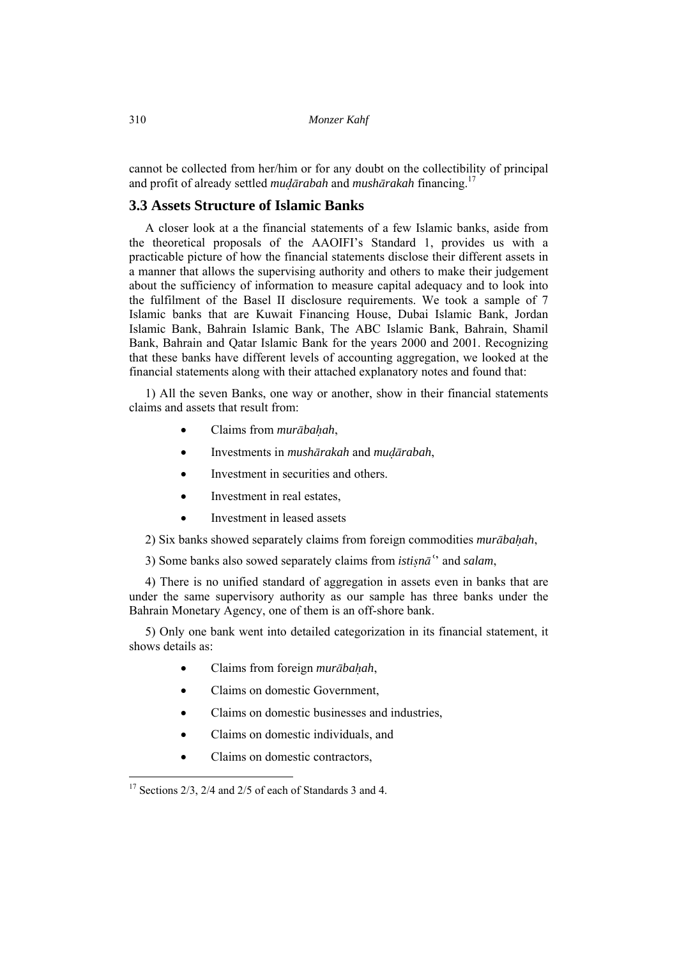cannot be collected from her/him or for any doubt on the collectibility of principal and profit of already settled *mudarabah* and *musharakah* financing.<sup>17</sup>

## **3.3 Assets Structure of Islamic Banks**

A closer look at a the financial statements of a few Islamic banks, aside from the theoretical proposals of the AAOIFI's Standard 1, provides us with a practicable picture of how the financial statements disclose their different assets in a manner that allows the supervising authority and others to make their judgement about the sufficiency of information to measure capital adequacy and to look into the fulfilment of the Basel II disclosure requirements. We took a sample of 7 Islamic banks that are Kuwait Financing House, Dubai Islamic Bank, Jordan Islamic Bank, Bahrain Islamic Bank, The ABC Islamic Bank, Bahrain, Shamil Bank, Bahrain and Qatar Islamic Bank for the years 2000 and 2001. Recognizing that these banks have different levels of accounting aggregation, we looked at the financial statements along with their attached explanatory notes and found that:

1) All the seven Banks, one way or another, show in their financial statements claims and assets that result from:

- Claims from *murabahah*,
- Investments in *musharakah* and *mudarabah*,
- Investment in securities and others.
- Investment in real estates
- Investment in leased assets
- 2) Six banks showed separately claims from foreign commodities *murabahah*,

3) Some banks also sowed separately claims from *istisna[*' and *salam*,

4) There is no unified standard of aggregation in assets even in banks that are under the same supervisory authority as our sample has three banks under the Bahrain Monetary Agency, one of them is an off-shore bank.

5) Only one bank went into detailed categorization in its financial statement, it shows details as:

- Claims from foreign *murabahah*,
- Claims on domestic Government,
- Claims on domestic businesses and industries,
- Claims on domestic individuals, and
- Claims on domestic contractors,

 $17$  Sections 2/3, 2/4 and 2/5 of each of Standards 3 and 4.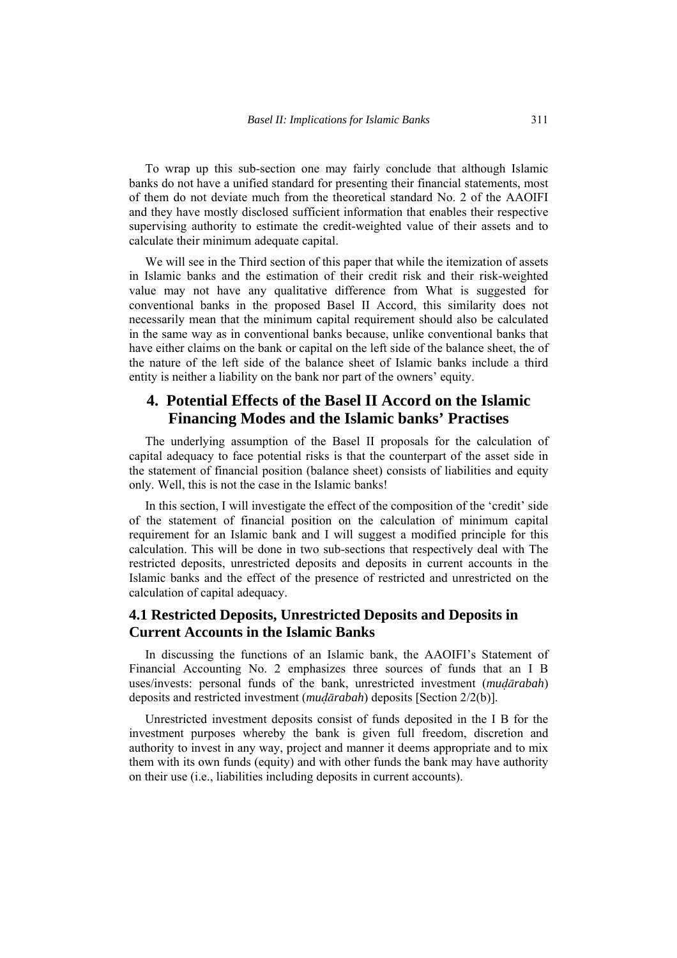To wrap up this sub-section one may fairly conclude that although Islamic banks do not have a unified standard for presenting their financial statements, most of them do not deviate much from the theoretical standard No. 2 of the AAOIFI and they have mostly disclosed sufficient information that enables their respective supervising authority to estimate the credit-weighted value of their assets and to calculate their minimum adequate capital.

We will see in the Third section of this paper that while the itemization of assets in Islamic banks and the estimation of their credit risk and their risk-weighted value may not have any qualitative difference from What is suggested for conventional banks in the proposed Basel II Accord, this similarity does not necessarily mean that the minimum capital requirement should also be calculated in the same way as in conventional banks because, unlike conventional banks that have either claims on the bank or capital on the left side of the balance sheet, the of the nature of the left side of the balance sheet of Islamic banks include a third entity is neither a liability on the bank nor part of the owners' equity.

## **4. Potential Effects of the Basel II Accord on the Islamic Financing Modes and the Islamic banks' Practises**

The underlying assumption of the Basel II proposals for the calculation of capital adequacy to face potential risks is that the counterpart of the asset side in the statement of financial position (balance sheet) consists of liabilities and equity only. Well, this is not the case in the Islamic banks!

In this section, I will investigate the effect of the composition of the 'credit' side of the statement of financial position on the calculation of minimum capital requirement for an Islamic bank and I will suggest a modified principle for this calculation. This will be done in two sub-sections that respectively deal with The restricted deposits, unrestricted deposits and deposits in current accounts in the Islamic banks and the effect of the presence of restricted and unrestricted on the calculation of capital adequacy.

## **4.1 Restricted Deposits, Unrestricted Deposits and Deposits in Current Accounts in the Islamic Banks**

In discussing the functions of an Islamic bank, the AAOIFI's Statement of Financial Accounting No. 2 emphasizes three sources of funds that an I B uses/invests: personal funds of the bank, unrestricted investment *(mudārabah)* deposits and restricted investment (*mudarabah*) deposits [Section 2/2(b)].

Unrestricted investment deposits consist of funds deposited in the I B for the investment purposes whereby the bank is given full freedom, discretion and authority to invest in any way, project and manner it deems appropriate and to mix them with its own funds (equity) and with other funds the bank may have authority on their use (i.e., liabilities including deposits in current accounts).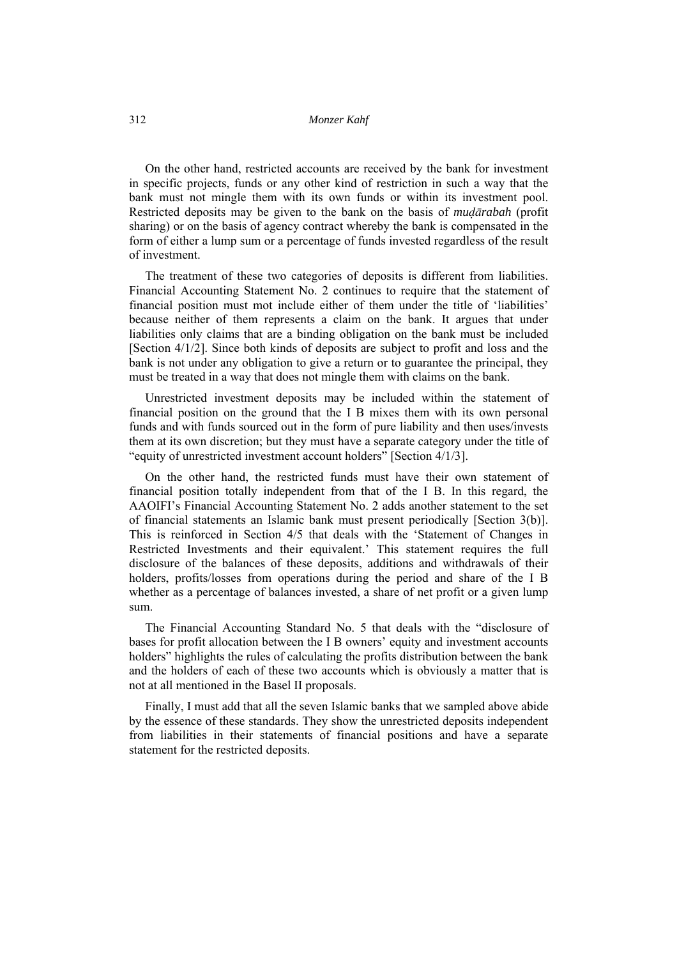On the other hand, restricted accounts are received by the bank for investment in specific projects, funds or any other kind of restriction in such a way that the bank must not mingle them with its own funds or within its investment pool. Restricted deposits may be given to the bank on the basis of *mudarabah* (profit sharing) or on the basis of agency contract whereby the bank is compensated in the form of either a lump sum or a percentage of funds invested regardless of the result of investment.

The treatment of these two categories of deposits is different from liabilities. Financial Accounting Statement No. 2 continues to require that the statement of financial position must mot include either of them under the title of 'liabilities' because neither of them represents a claim on the bank. It argues that under liabilities only claims that are a binding obligation on the bank must be included [Section 4/1/2]. Since both kinds of deposits are subject to profit and loss and the bank is not under any obligation to give a return or to guarantee the principal, they must be treated in a way that does not mingle them with claims on the bank.

Unrestricted investment deposits may be included within the statement of financial position on the ground that the I B mixes them with its own personal funds and with funds sourced out in the form of pure liability and then uses/invests them at its own discretion; but they must have a separate category under the title of "equity of unrestricted investment account holders" [Section 4/1/3].

On the other hand, the restricted funds must have their own statement of financial position totally independent from that of the I B. In this regard, the AAOIFI's Financial Accounting Statement No. 2 adds another statement to the set of financial statements an Islamic bank must present periodically [Section 3(b)]. This is reinforced in Section 4/5 that deals with the 'Statement of Changes in Restricted Investments and their equivalent.' This statement requires the full disclosure of the balances of these deposits, additions and withdrawals of their holders, profits/losses from operations during the period and share of the I B whether as a percentage of balances invested, a share of net profit or a given lump sum.

The Financial Accounting Standard No. 5 that deals with the "disclosure of bases for profit allocation between the I B owners' equity and investment accounts holders" highlights the rules of calculating the profits distribution between the bank and the holders of each of these two accounts which is obviously a matter that is not at all mentioned in the Basel II proposals.

Finally, I must add that all the seven Islamic banks that we sampled above abide by the essence of these standards. They show the unrestricted deposits independent from liabilities in their statements of financial positions and have a separate statement for the restricted deposits.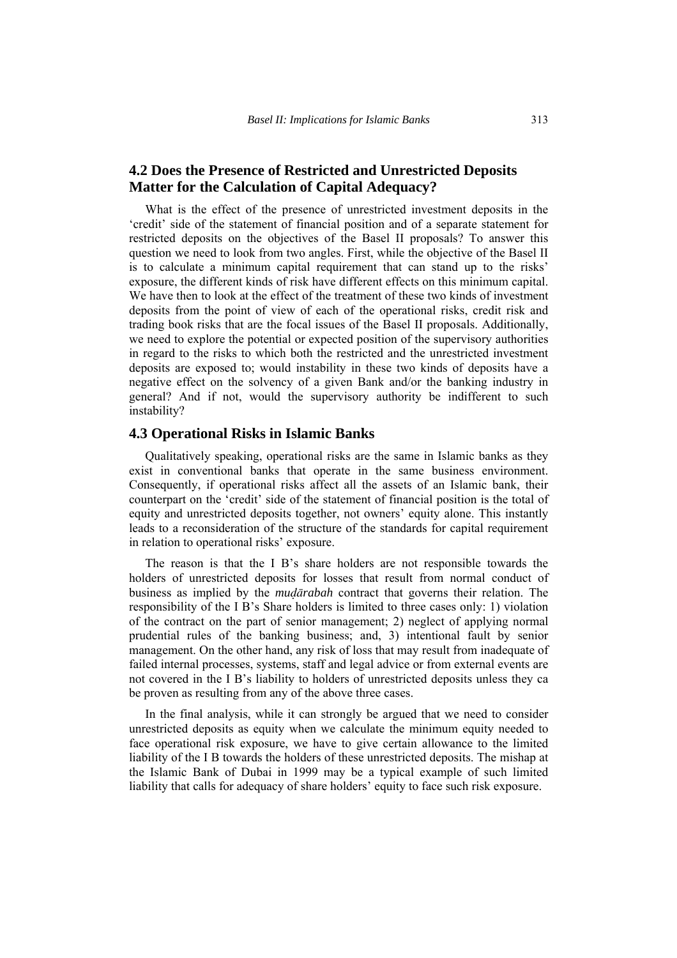## **4.2 Does the Presence of Restricted and Unrestricted Deposits Matter for the Calculation of Capital Adequacy?**

What is the effect of the presence of unrestricted investment deposits in the 'credit' side of the statement of financial position and of a separate statement for restricted deposits on the objectives of the Basel II proposals? To answer this question we need to look from two angles. First, while the objective of the Basel II is to calculate a minimum capital requirement that can stand up to the risks' exposure, the different kinds of risk have different effects on this minimum capital. We have then to look at the effect of the treatment of these two kinds of investment deposits from the point of view of each of the operational risks, credit risk and trading book risks that are the focal issues of the Basel II proposals. Additionally, we need to explore the potential or expected position of the supervisory authorities in regard to the risks to which both the restricted and the unrestricted investment deposits are exposed to; would instability in these two kinds of deposits have a negative effect on the solvency of a given Bank and/or the banking industry in general? And if not, would the supervisory authority be indifferent to such instability?

#### **4.3 Operational Risks in Islamic Banks**

Qualitatively speaking, operational risks are the same in Islamic banks as they exist in conventional banks that operate in the same business environment. Consequently, if operational risks affect all the assets of an Islamic bank, their counterpart on the 'credit' side of the statement of financial position is the total of equity and unrestricted deposits together, not owners' equity alone. This instantly leads to a reconsideration of the structure of the standards for capital requirement in relation to operational risks' exposure.

The reason is that the I B's share holders are not responsible towards the holders of unrestricted deposits for losses that result from normal conduct of business as implied by the *mudarabah* contract that governs their relation. The responsibility of the I B's Share holders is limited to three cases only: 1) violation of the contract on the part of senior management; 2) neglect of applying normal prudential rules of the banking business; and, 3) intentional fault by senior management. On the other hand, any risk of loss that may result from inadequate of failed internal processes, systems, staff and legal advice or from external events are not covered in the I B's liability to holders of unrestricted deposits unless they ca be proven as resulting from any of the above three cases.

In the final analysis, while it can strongly be argued that we need to consider unrestricted deposits as equity when we calculate the minimum equity needed to face operational risk exposure, we have to give certain allowance to the limited liability of the I B towards the holders of these unrestricted deposits. The mishap at the Islamic Bank of Dubai in 1999 may be a typical example of such limited liability that calls for adequacy of share holders' equity to face such risk exposure.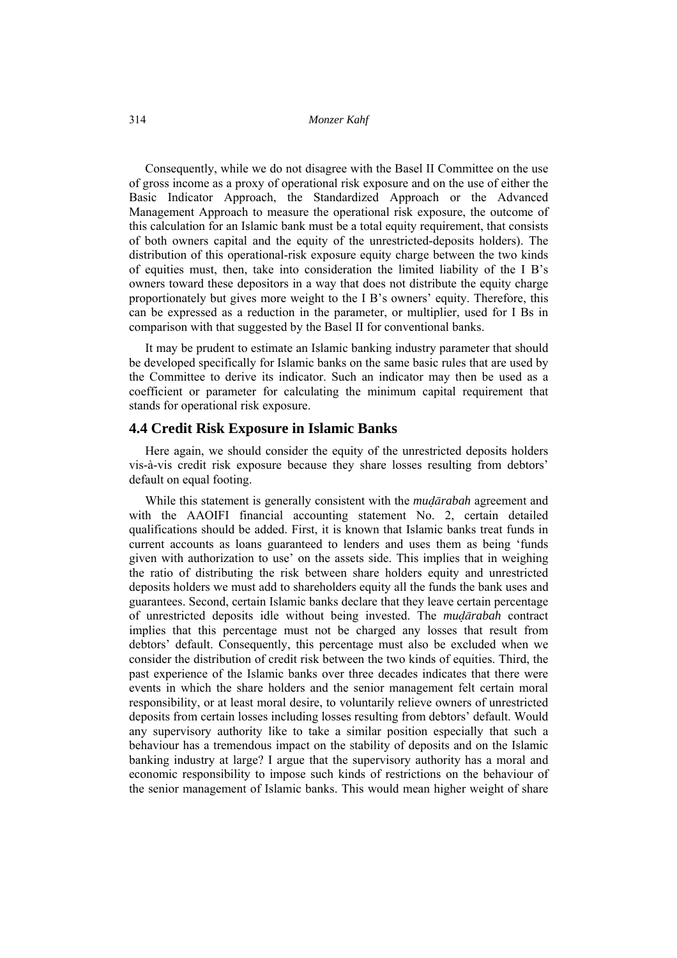#### 314 *Monzer Kahf*

Consequently, while we do not disagree with the Basel II Committee on the use of gross income as a proxy of operational risk exposure and on the use of either the Basic Indicator Approach, the Standardized Approach or the Advanced Management Approach to measure the operational risk exposure, the outcome of this calculation for an Islamic bank must be a total equity requirement, that consists of both owners capital and the equity of the unrestricted-deposits holders). The distribution of this operational-risk exposure equity charge between the two kinds of equities must, then, take into consideration the limited liability of the I B's owners toward these depositors in a way that does not distribute the equity charge proportionately but gives more weight to the I B's owners' equity. Therefore, this can be expressed as a reduction in the parameter, or multiplier, used for I Bs in comparison with that suggested by the Basel II for conventional banks.

It may be prudent to estimate an Islamic banking industry parameter that should be developed specifically for Islamic banks on the same basic rules that are used by the Committee to derive its indicator. Such an indicator may then be used as a coefficient or parameter for calculating the minimum capital requirement that stands for operational risk exposure.

### **4.4 Credit Risk Exposure in Islamic Banks**

Here again, we should consider the equity of the unrestricted deposits holders vis-à-vis credit risk exposure because they share losses resulting from debtors' default on equal footing.

While this statement is generally consistent with the *mudarabah* agreement and with the AAOIFI financial accounting statement No. 2, certain detailed qualifications should be added. First, it is known that Islamic banks treat funds in current accounts as loans guaranteed to lenders and uses them as being 'funds given with authorization to use' on the assets side. This implies that in weighing the ratio of distributing the risk between share holders equity and unrestricted deposits holders we must add to shareholders equity all the funds the bank uses and guarantees. Second, certain Islamic banks declare that they leave certain percentage of unrestricted deposits idle without being invested. The *mudarabah* contract implies that this percentage must not be charged any losses that result from debtors' default. Consequently, this percentage must also be excluded when we consider the distribution of credit risk between the two kinds of equities. Third, the past experience of the Islamic banks over three decades indicates that there were events in which the share holders and the senior management felt certain moral responsibility, or at least moral desire, to voluntarily relieve owners of unrestricted deposits from certain losses including losses resulting from debtors' default. Would any supervisory authority like to take a similar position especially that such a behaviour has a tremendous impact on the stability of deposits and on the Islamic banking industry at large? I argue that the supervisory authority has a moral and economic responsibility to impose such kinds of restrictions on the behaviour of the senior management of Islamic banks. This would mean higher weight of share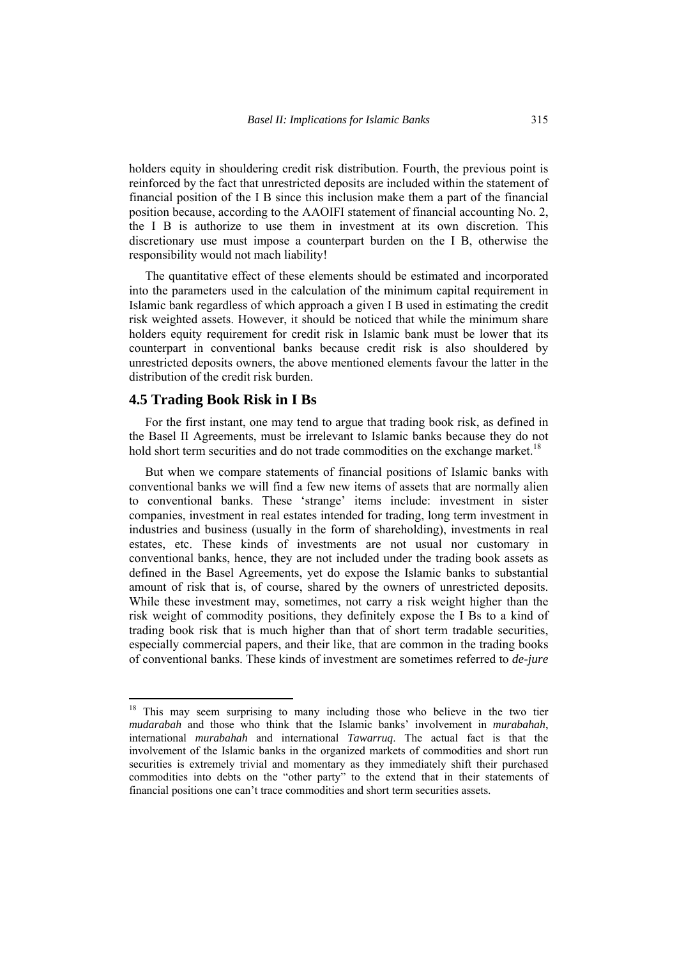holders equity in shouldering credit risk distribution. Fourth, the previous point is reinforced by the fact that unrestricted deposits are included within the statement of financial position of the I B since this inclusion make them a part of the financial position because, according to the AAOIFI statement of financial accounting No. 2, the I B is authorize to use them in investment at its own discretion. This discretionary use must impose a counterpart burden on the I B, otherwise the responsibility would not mach liability!

The quantitative effect of these elements should be estimated and incorporated into the parameters used in the calculation of the minimum capital requirement in Islamic bank regardless of which approach a given I B used in estimating the credit risk weighted assets. However, it should be noticed that while the minimum share holders equity requirement for credit risk in Islamic bank must be lower that its counterpart in conventional banks because credit risk is also shouldered by unrestricted deposits owners, the above mentioned elements favour the latter in the distribution of the credit risk burden.

#### **4.5 Trading Book Risk in I Bs**

 $\overline{a}$ 

For the first instant, one may tend to argue that trading book risk, as defined in the Basel II Agreements, must be irrelevant to Islamic banks because they do not hold short term securities and do not trade commodities on the exchange market.<sup>18</sup>

But when we compare statements of financial positions of Islamic banks with conventional banks we will find a few new items of assets that are normally alien to conventional banks. These 'strange' items include: investment in sister companies, investment in real estates intended for trading, long term investment in industries and business (usually in the form of shareholding), investments in real estates, etc. These kinds of investments are not usual nor customary in conventional banks, hence, they are not included under the trading book assets as defined in the Basel Agreements, yet do expose the Islamic banks to substantial amount of risk that is, of course, shared by the owners of unrestricted deposits. While these investment may, sometimes, not carry a risk weight higher than the risk weight of commodity positions, they definitely expose the I Bs to a kind of trading book risk that is much higher than that of short term tradable securities, especially commercial papers, and their like, that are common in the trading books of conventional banks. These kinds of investment are sometimes referred to *de-jure*

<sup>&</sup>lt;sup>18</sup> This may seem surprising to many including those who believe in the two tier *mudarabah* and those who think that the Islamic banks' involvement in *murabahah*, international *murabahah* and international *Tawarruq*. The actual fact is that the involvement of the Islamic banks in the organized markets of commodities and short run securities is extremely trivial and momentary as they immediately shift their purchased commodities into debts on the "other party" to the extend that in their statements of financial positions one can't trace commodities and short term securities assets.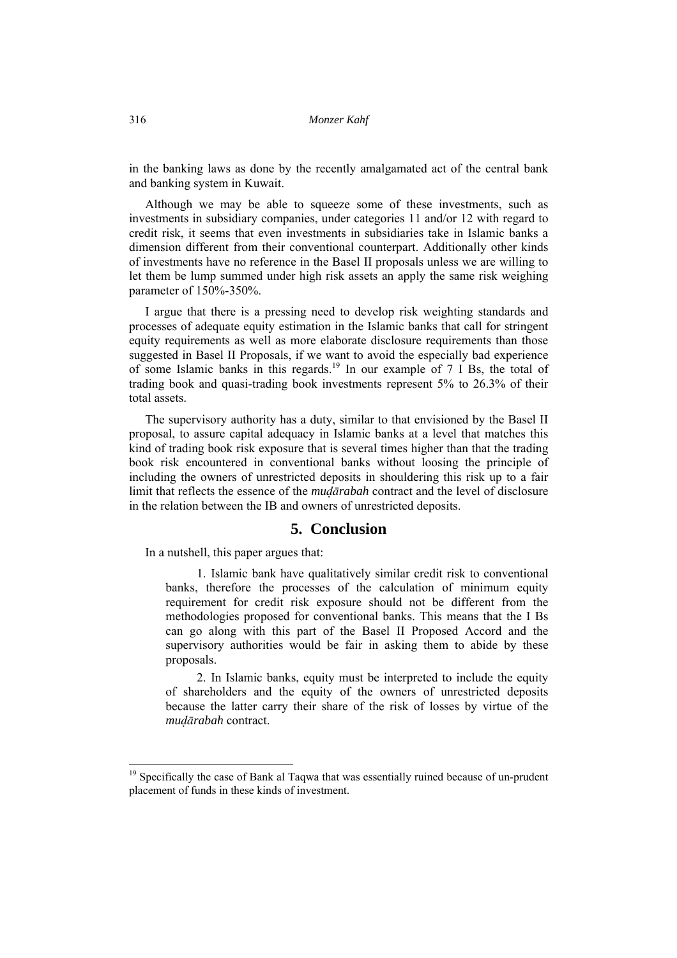in the banking laws as done by the recently amalgamated act of the central bank and banking system in Kuwait.

Although we may be able to squeeze some of these investments, such as investments in subsidiary companies, under categories 11 and/or 12 with regard to credit risk, it seems that even investments in subsidiaries take in Islamic banks a dimension different from their conventional counterpart. Additionally other kinds of investments have no reference in the Basel II proposals unless we are willing to let them be lump summed under high risk assets an apply the same risk weighing parameter of 150%-350%.

I argue that there is a pressing need to develop risk weighting standards and processes of adequate equity estimation in the Islamic banks that call for stringent equity requirements as well as more elaborate disclosure requirements than those suggested in Basel II Proposals, if we want to avoid the especially bad experience of some Islamic banks in this regards.<sup>19</sup> In our example of 7 I Bs, the total of trading book and quasi-trading book investments represent 5% to 26.3% of their total assets.

The supervisory authority has a duty, similar to that envisioned by the Basel II proposal, to assure capital adequacy in Islamic banks at a level that matches this kind of trading book risk exposure that is several times higher than that the trading book risk encountered in conventional banks without loosing the principle of including the owners of unrestricted deposits in shouldering this risk up to a fair limit that reflects the essence of the *mudarabah* contract and the level of disclosure in the relation between the IB and owners of unrestricted deposits.

### **5. Conclusion**

In a nutshell, this paper argues that:

1. Islamic bank have qualitatively similar credit risk to conventional banks, therefore the processes of the calculation of minimum equity requirement for credit risk exposure should not be different from the methodologies proposed for conventional banks. This means that the I Bs can go along with this part of the Basel II Proposed Accord and the supervisory authorities would be fair in asking them to abide by these proposals.

2. In Islamic banks, equity must be interpreted to include the equity of shareholders and the equity of the owners of unrestricted deposits because the latter carry their share of the risk of losses by virtue of the *mudarabah* contract.

<sup>&</sup>lt;sup>19</sup> Specifically the case of Bank al Taqwa that was essentially ruined because of un-prudent placement of funds in these kinds of investment.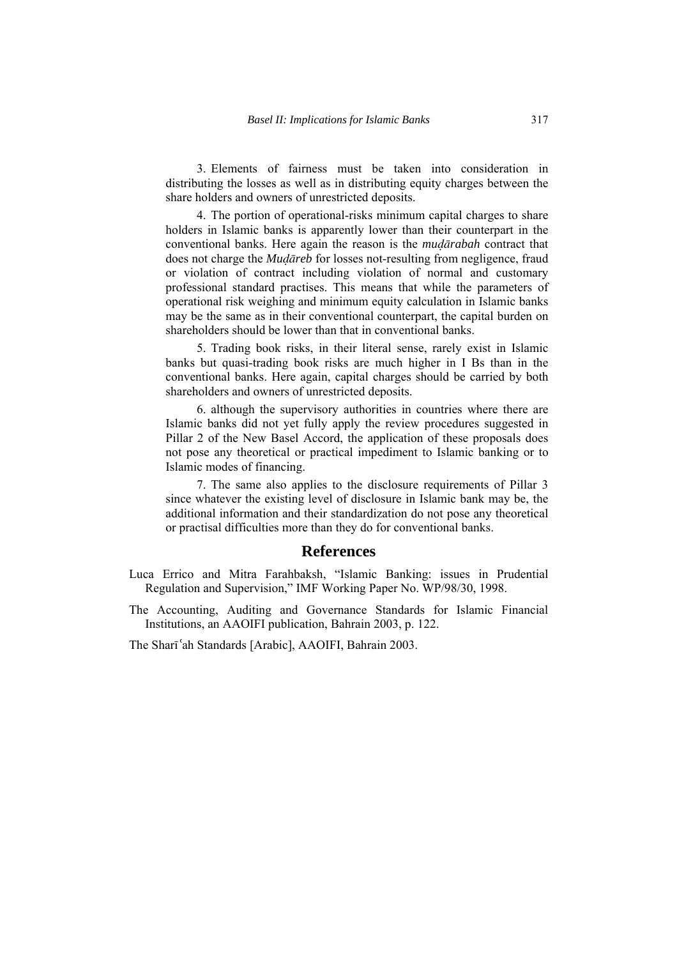3. Elements of fairness must be taken into consideration in distributing the losses as well as in distributing equity charges between the share holders and owners of unrestricted deposits.

4. The portion of operational-risks minimum capital charges to share holders in Islamic banks is apparently lower than their counterpart in the conventional banks. Here again the reason is the *mudarabah* contract that does not charge the *Mudareb* for losses not-resulting from negligence, fraud or violation of contract including violation of normal and customary professional standard practises. This means that while the parameters of operational risk weighing and minimum equity calculation in Islamic banks may be the same as in their conventional counterpart, the capital burden on shareholders should be lower than that in conventional banks.

5. Trading book risks, in their literal sense, rarely exist in Islamic banks but quasi-trading book risks are much higher in I Bs than in the conventional banks. Here again, capital charges should be carried by both shareholders and owners of unrestricted deposits.

6. although the supervisory authorities in countries where there are Islamic banks did not yet fully apply the review procedures suggested in Pillar 2 of the New Basel Accord, the application of these proposals does not pose any theoretical or practical impediment to Islamic banking or to Islamic modes of financing.

7. The same also applies to the disclosure requirements of Pillar 3 since whatever the existing level of disclosure in Islamic bank may be, the additional information and their standardization do not pose any theoretical or practisal difficulties more than they do for conventional banks.

#### **References**

- Luca Errico and Mitra Farahbaksh, "Islamic Banking: issues in Prudential Regulation and Supervision," IMF Working Paper No. WP/98/30, 1998.
- The Accounting, Auditing and Governance Standards for Islamic Financial Institutions, an AAOIFI publication, Bahrain 2003, p. 122.

The Shari<sup>'</sup>ah Standards [Arabic], AAOIFI, Bahrain 2003.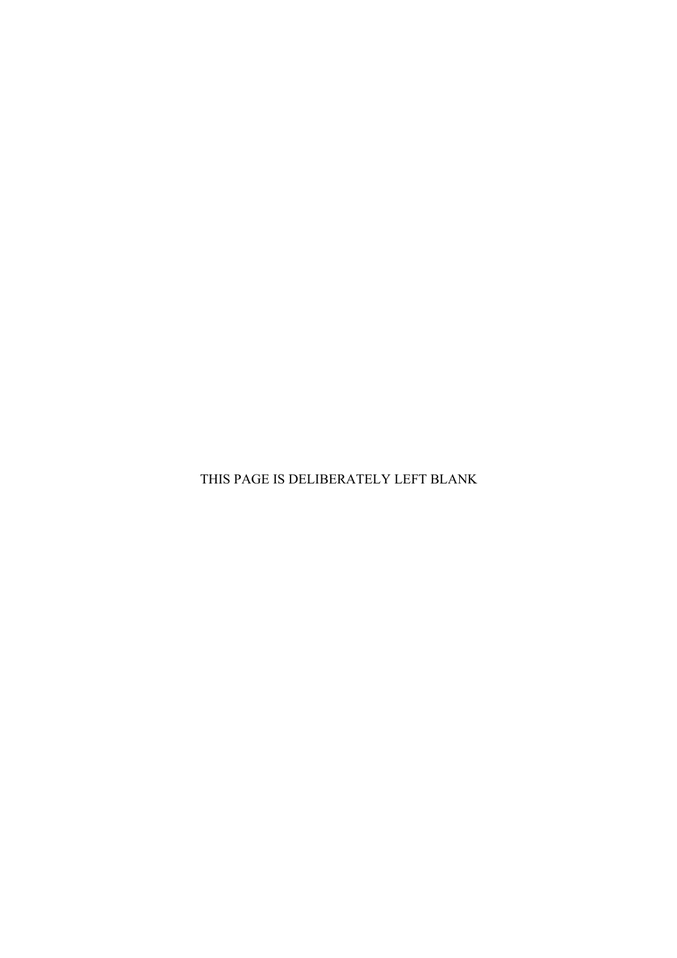THIS PAGE IS DELIBERATELY LEFT BLANK